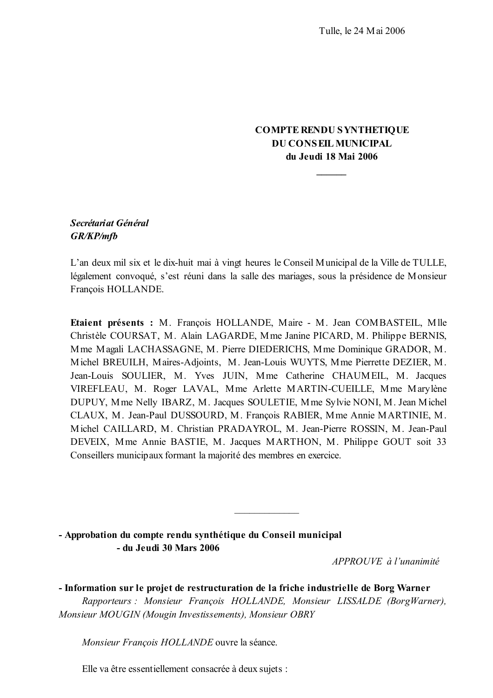# **COMPTE RENDU SYNTHETIQUE DU CONSEIL MUNICIPAL** du Jeudi 18 Mai 2006

# Secrétariat Général **GR/KP/mfb**

L'an deux mil six et le dix-huit mai à vingt heures le Conseil Municipal de la Ville de TULLE, légalement convoqué, s'est réuni dans la salle des mariages, sous la présidence de Monsieur François HOLLANDE.

Etaient présents : M. François HOLLANDE, Maire - M. Jean COMBASTEIL, Mlle Christèle COURSAT, M. Alain LAGARDE, Mme Janine PICARD, M. Philippe BERNIS, Mme Magali LACHASSAGNE, M. Pierre DIEDERICHS, Mme Dominique GRADOR, M. Michel BREUILH, Maires-Adjoints, M. Jean-Louis WUYTS, Mme Pierrette DEZIER, M. Jean-Louis SOULIER, M. Yves JUIN, Mme Catherine CHAUMEIL, M. Jacques VIREFLEAU, M. Roger LAVAL, Mme Arlette MARTIN-CUEILLE, Mme Marylène DUPUY, Mme Nelly IBARZ, M. Jacques SOULETIE, Mme Sylvie NONI, M. Jean Michel CLAUX, M. Jean-Paul DUSSOURD, M. François RABIER, Mme Annie MARTINIE, M. Michel CAILLARD, M. Christian PRADAYROL, M. Jean-Pierre ROSSIN, M. Jean-Paul DEVEIX, Mme Annie BASTIE, M. Jacques MARTHON, M. Philippe GOUT soit 33 Conseillers municipaux formant la majorité des membres en exercice.

- Approbation du compte rendu synthétique du Conseil municipal - du Jeudi 30 Mars 2006

 $APPROIIVE \d{d} l'unanimit\acute{e}$ 

- Information sur le projet de restructuration de la friche industrielle de Borg Warner Rapporteurs: Monsieur François HOLLANDE, Monsieur LISSALDE (BorgWarner), Monsieur MOUGIN (Mougin Investissements), Monsieur OBRY

Monsieur François HOLLANDE ouvre la séance.

Elle va être essentiellement consacrée à deux sujets :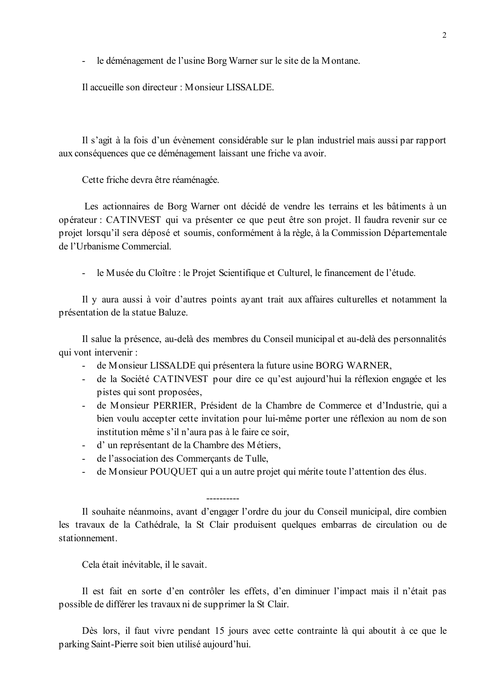le déménagement de l'usine Borg Warner sur le site de la Montane.  $\mathbf{L}$ 

Il accueille son directeur : Monsieur LISSALDE.

Il s'agit à la fois d'un évènement considérable sur le plan industriel mais aussi par rapport aux conséquences que ce déménagement laissant une friche va avoir.

Cette friche devra être réaménagée.

Les actionnaires de Borg Warner ont décidé de vendre les terrains et les bâtiments à un opérateur : CATINVEST qui va présenter ce que peut être son projet. Il faudra revenir sur ce projet lorsqu'il sera déposé et soumis, conformément à la règle, à la Commission Départementale de l'Urbanisme Commercial

le Musée du Cloître : le Projet Scientifique et Culturel, le financement de l'étude.  $\omega_{\rm{eff}}$ 

Il y aura aussi à voir d'autres points ayant trait aux affaires culturelles et notamment la présentation de la statue Baluze.

Il salue la présence, au-delà des membres du Conseil municipal et au-delà des personnalités qui vont intervenir :

- de Monsieur LISSALDE qui présentera la future usine BORG WARNER,
- de la Société CATINVEST pour dire ce qu'est aujourd'hui la réflexion engagée et les pistes qui sont proposées,
- de Monsieur PERRIER, Président de la Chambre de Commerce et d'Industrie, qui a bien voulu accepter cette invitation pour lui-même porter une réflexion au nom de son institution même s'il n'aura pas à le faire ce soir,
- d'un représentant de la Chambre des Métiers,
- de l'association des Commercants de Tulle,
- de Monsieur POUQUET qui a un autre projet qui mérite toute l'attention des élus.  $\mathbf{L}^{\text{max}}$

Il souhaite néanmoins, avant d'engager l'ordre du jour du Conseil municipal, dire combien les travaux de la Cathédrale, la St Clair produisent quelques embarras de circulation ou de stationnement

Cela était inévitable, il le savait.

Il est fait en sorte d'en contrôler les effets, d'en diminuer l'impact mais il n'était pas possible de différer les travaux ni de supprimer la St Clair.

Dès lors, il faut vivre pendant 15 jours avec cette contrainte là qui aboutit à ce que le parking Saint-Pierre soit bien utilisé aujourd'hui.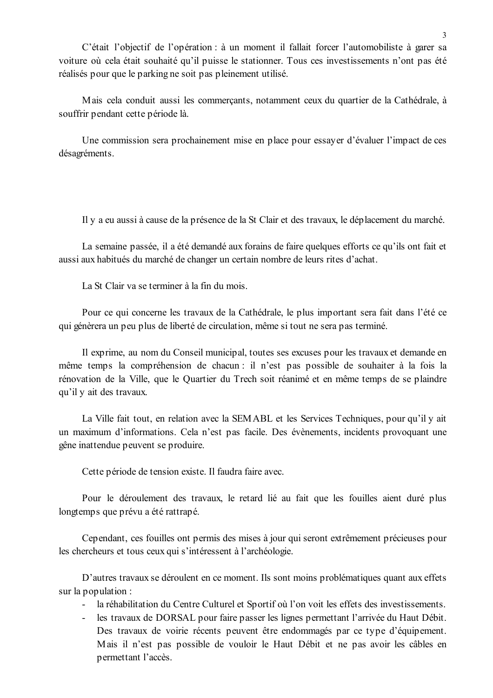C'était l'objectif de l'opération : à un moment il fallait forcer l'automobiliste à garer sa voiture où cela était souhaité qu'il puisse le stationner. Tous ces investissements n'ont pas été réalisés pour que le parking ne soit pas pleinement utilisé.

Mais cela conduit aussi les commerçants, notamment ceux du quartier de la Cathédrale, à souffrir pendant cette période là.

Une commission sera prochainement mise en place pour essayer d'évaluer l'impact de ces désagréments.

Il y a eu aussi à cause de la présence de la St Clair et des travaux, le déplacement du marché.

La semaine passée, il a été demandé aux forains de faire quelques efforts ce qu'ils ont fait et aussi aux habitués du marché de changer un certain nombre de leurs rites d'achat.

La St Clair va se terminer à la fin du mois.

Pour ce qui concerne les travaux de la Cathédrale, le plus important sera fait dans l'été ce qui génèrera un peu plus de liberté de circulation, même si tout ne sera pas terminé.

Il exprime, au nom du Conseil municipal, toutes ses excuses pour les travaux et demande en même temps la compréhension de chacun : il n'est pas possible de souhaiter à la fois la rénovation de la Ville, que le Quartier du Trech soit réanimé et en même temps de se plaindre qu'il y ait des travaux.

La Ville fait tout, en relation avec la SEMABL et les Services Techniques, pour qu'il y ait un maximum d'informations. Cela n'est pas facile. Des évènements, incidents provoquant une gêne inattendue peuvent se produire.

Cette période de tension existe. Il faudra faire avec.

Pour le déroulement des travaux, le retard lié au fait que les fouilles aient duré plus longtemps que prévu a été rattrapé.

Cependant, ces fouilles ont permis des mises à jour qui seront extrêmement précieuses pour les chercheurs et tous ceux qui s'intéressent à l'archéologie.

D'autres travaux se déroulent en ce moment. Ils sont moins problématiques quant aux effets sur la population :

- la réhabilitation du Centre Culturel et Sportif où l'on voit les effets des investissements.

- les travaux de DORSAL pour faire passer les lignes permettant l'arrivée du Haut Débit. Des travaux de voirie récents peuvent être endommagés par ce type d'équipement. Mais il n'est pas possible de vouloir le Haut Débit et ne pas avoir les câbles en permettant l'accès.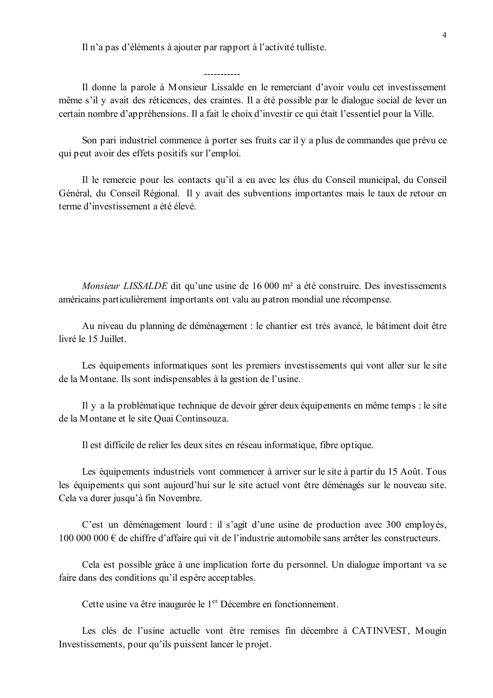Il n'a pas d'éléments à ajouter par rapport à l'activité tulliste.

Il donne la parole à Monsieur Lissalde en le remerciant d'avoir voulu cet investissement même s'il y avait des réticences, des craintes. Il a été possible par le dialogue social de lever un certain nombre d'appréhensions. Il a fait le choix d'investir ce qui était l'essentiel pour la Ville.

Son pari industriel commence à porter ses fruits car il y a plus de commandes que prévu ce qui peut avoir des effets positifs sur l'emploi.

Il le remercie pour les contacts qu'il a eu avec les élus du Conseil municipal, du Conseil Général, du Conseil Régional. Il y avait des subventions importantes mais le taux de retour en terme d'investissement a été élevé.

*Monsieur LISSALDE* dit qu'une usine de 16 000 m<sup>2</sup> a été construire. Des investissements américains particulièrement importants ont valu au patron mondial une récompense.

Au niveau du planning de déménagement : le chantier est très avancé, le bâtiment doit être livré le 15 Juillet.

Les équipements informatiques sont les premiers investissements qui vont aller sur le site de la Montane. Ils sont indispensables à la gestion de l'usine.

Il y a la problématique technique de devoir gérer deux équipements en même temps : le site de la Montane et le site Quai Continsouza.

Il est difficile de relier les deux sites en réseau informatique, fibre optique.

Les équipements industriels vont commencer à arriver sur le site à partir du 15 Août. Tous les équipements qui sont aujourd'hui sur le site actuel vont être déménagés sur le nouveau site. Cela va durer jusqu'à fin Novembre.

C'est un déménagement lourd : il s'agit d'une usine de production avec 300 employés, 100 000 000  $\in$  de chiffre d'affaire qui vit de l'industrie automobile sans arrêter les constructeurs.

Cela est possible grâce à une implication forte du personnel. Un dialogue important va se faire dans des conditions qu'il espère acceptables.

Cette usine va être inaugurée le 1<sup>er</sup> Décembre en fonctionnement.

Les clés de l'usine actuelle vont être remises fin décembre à CATINVEST, Mougin Investissements, pour qu'ils puissent lancer le projet.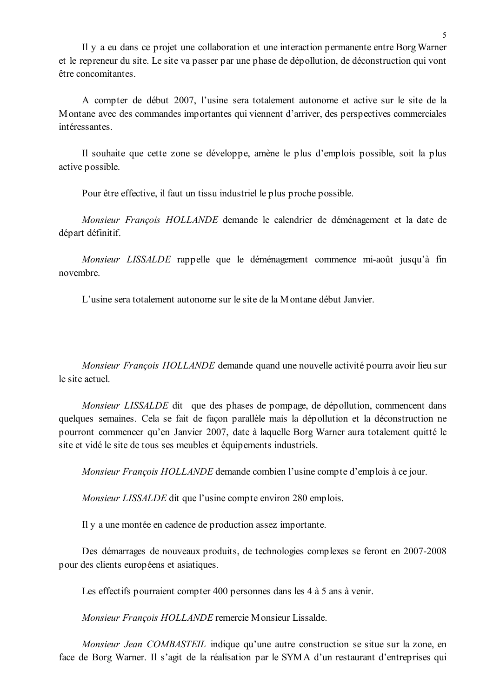Il y a eu dans ce projet une collaboration et une interaction permanente entre Borg Warner et le repreneur du site. Le site va passer par une phase de dépollution, de déconstruction qui vont être concomitantes.

A compter de début 2007, l'usine sera totalement autonome et active sur le site de la Montane avec des commandes importantes qui viennent d'arriver, des perspectives commerciales intéressantes

Il souhaite que cette zone se développe, amène le plus d'emplois possible, soit la plus active possible.

Pour être effective, il faut un tissu industriel le plus proche possible.

Monsieur François HOLLANDE demande le calendrier de déménagement et la date de départ définitif.

Monsieur LISSALDE rappelle que le déménagement commence mi-août jusqu'à fin novembre

L'usine sera totalement autonome sur le site de la Montane début Janvier.

Monsieur François HOLLANDE demande quand une nouvelle activité pourra avoir lieu sur le site actuel

Monsieur LISSALDE dit que des phases de pompage, de dépollution, commencent dans quelques semaines. Cela se fait de façon parallèle mais la dépollution et la déconstruction ne pourront commencer qu'en Janvier 2007, date à laquelle Borg Warner aura totalement quitté le site et vidé le site de tous ses meubles et équipements industriels.

Monsieur François HOLLANDE demande combien l'usine compte d'emplois à ce jour.

*Monsieur LISSALDE* dit que l'usine compte environ 280 emplois.

Il y a une montée en cadence de production assez importante.

Des démarrages de nouveaux produits, de technologies complexes se feront en 2007-2008 pour des clients européens et asiatiques.

Les effectifs pourraient compter 400 personnes dans les 4 à 5 ans à venir.

Monsieur François HOLLANDE remercie Monsieur Lissalde.

Monsieur Jean COMBASTEIL indique qu'une autre construction se situe sur la zone, en face de Borg Warner. Il s'agit de la réalisation par le SYMA d'un restaurant d'entreprises qui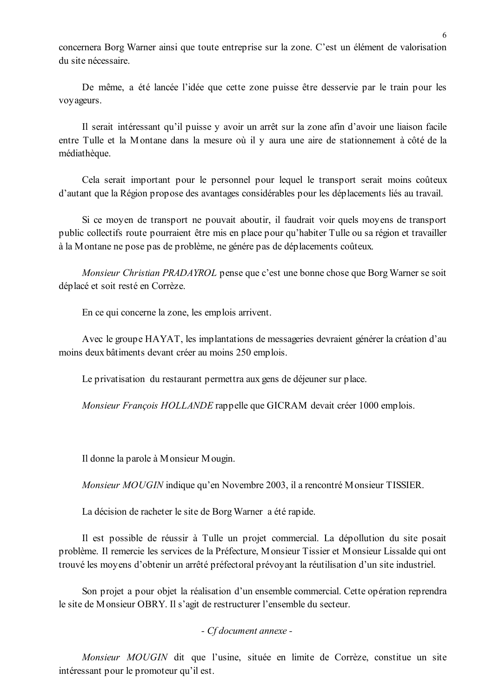concernera Borg Warner ainsi que toute entreprise sur la zone. C'est un élément de valorisation du site nécessaire

De même, a été lancée l'idée que cette zone puisse être desservie par le train pour les voy ageurs.

Il serait intéressant qu'il puisse y avoir un arrêt sur la zone afin d'avoir une liaison facile entre Tulle et la Montane dans la mesure où il y aura une aire de stationnement à côté de la médiathèque.

Cela serait important pour le personnel pour lequel le transport serait moins coûteux d'autant que la Région propose des avantages considérables pour les déplacements liés au travail.

Si ce moyen de transport ne pouvait aboutir, il faudrait voir quels moyens de transport public collectifs route pourraient être mis en place pour qu'habiter Tulle ou sa région et travailler à la Montane ne pose pas de problème, ne génére pas de déplacements coûteux.

Monsieur Christian PRADAYROL pense que c'est une bonne chose que Borg Warner se soit déplacé et soit resté en Corrèze.

En ce qui concerne la zone, les emplois arrivent.

Avec le groupe HAYAT, les implantations de messageries devraient générer la création d'au moins deux bâtiments devant créer au moins 250 emplois.

Le privatisation du restaurant permettra aux gens de déjeuner sur place.

Monsieur François HOLLANDE rappelle que GICRAM devait créer 1000 emplois.

Il donne la parole à Monsieur Mougin.

*Monsieur MOUGIN* indique qu'en Novembre 2003, il a rencontré Monsieur TISSIER.

La décision de racheter le site de Borg Warner a été rapide.

Il est possible de réussir à Tulle un projet commercial. La dépollution du site posait problème. Il remercie les services de la Préfecture. Monsieur Tissier et Monsieur Lissalde qui ont trouvé les moyens d'obtenir un arrêté préfectoral prévoyant la réutilisation d'un site industriel.

Son projet a pour objet la réalisation d'un ensemble commercial. Cette opération reprendra le site de Monsieur OBRY. Il s'agit de restructurer l'ensemble du secteur.

#### - Cf document annexe -

Monsieur MOUGIN dit que l'usine, située en limite de Corrèze, constitue un site intéressant pour le promoteur qu'il est.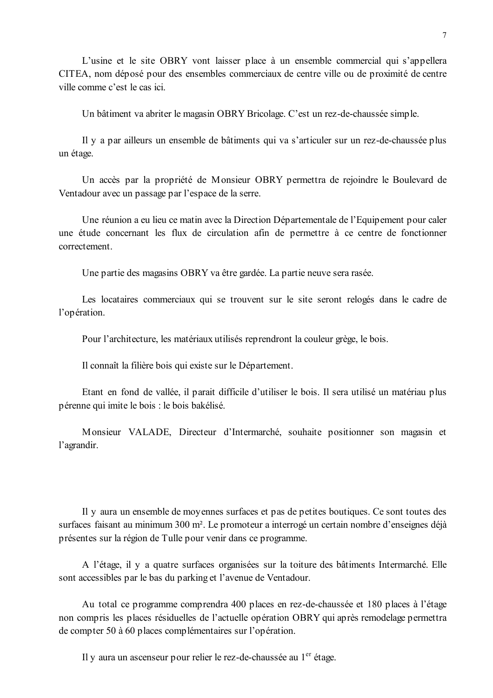L'usine et le site OBRY vont laisser place à un ensemble commercial qui s'appellera CITEA, nom déposé pour des ensembles commerciaux de centre ville ou de proximité de centre ville comme c'est le cas ici.

Un bâtiment va abriter le magasin OBRY Bricolage. C'est un rez-de-chaussée simple.

Il y a par ailleurs un ensemble de bâtiments qui va s'articuler sur un rez-de-chaussée plus un étage.

Un accès par la propriété de Monsieur OBRY permettra de rejoindre le Boulevard de Ventadour avec un passage par l'espace de la serre.

Une réunion a eu lieu ce matin avec la Direction Départementale de l'Equipement pour caler une étude concernant les flux de circulation afin de permettre à ce centre de fonctionner correctement

Une partie des magasins OBRY va être gardée. La partie neuve sera rasée.

Les locataires commerciaux qui se trouvent sur le site seront relogés dans le cadre de l'opération.

Pour l'architecture, les matériaux utilisés reprendront la couleur grège, le bois.

Il connaît la filière bois qui existe sur le Département.

Etant en fond de vallée, il parait difficile d'utiliser le bois. Il sera utilisé un matériau plus pérenne qui imite le bois : le bois bakélisé.

Monsieur VALADE, Directeur d'Intermarché, souhaite positionner son magasin et l'agrandir.

Il y aura un ensemble de moyennes surfaces et pas de petites boutiques. Ce sont toutes des surfaces faisant au minimum 300 m<sup>2</sup>. Le promoteur a interrogé un certain nombre d'enseignes déjà présentes sur la région de Tulle pour venir dans ce programme.

A l'étage, il y a quatre surfaces organisées sur la toiture des bâtiments Intermarché. Elle sont accessibles par le bas du parking et l'avenue de Ventadour.

Au total ce programme comprendra 400 places en rez-de-chaussée et 180 places à l'étage non compris les places résiduelles de l'actuelle opération OBRY qui après remodelage permettra de compter 50 à 60 places complémentaires sur l'opération.

Il y aura un ascenseur pour relier le rez-de-chaussée au 1<sup>er</sup> étage.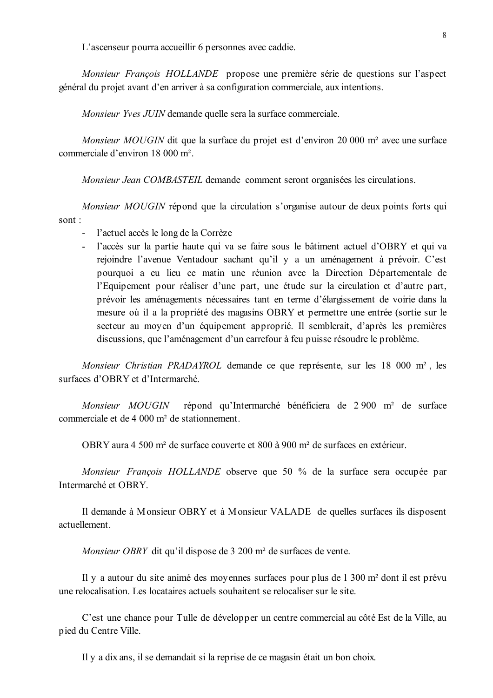L'ascenseur pourra accueillir 6 personnes avec caddie.

Monsieur François HOLLANDE propose une première série de questions sur l'aspect général du projet avant d'en arriver à sa configuration commerciale, aux intentions.

Monsieur Yves JUIN demande quelle sera la surface commerciale.

Monsieur MOUGIN dit que la surface du projet est d'environ 20 000 m<sup>2</sup> avec une surface commerciale d'environ 18 000 m<sup>2</sup>.

Monsieur Jean COMBASTEIL demande comment seront organisées les circulations.

*Monsieur MOUGIN* répond que la circulation s'organise autour de deux points forts qui sont:

- l'actuel accès le long de la Corrèze
- l'accès sur la partie haute qui va se faire sous le bâtiment actuel d'OBRY et qui va rejoindre l'avenue Ventadour sachant qu'il y a un aménagement à prévoir. C'est pourquoi a eu lieu ce matin une réunion avec la Direction Départementale de l'Equipement pour réaliser d'une part, une étude sur la circulation et d'autre part, prévoir les aménagements nécessaires tant en terme d'élargissement de voirie dans la mesure où il a la propriété des magasins OBRY et permettre une entrée (sortie sur le secteur au moyen d'un équipement approprié. Il semblerait, d'après les premières discussions, que l'aménagement d'un carrefour à feu puisse résoudre le problème.

Monsieur Christian PRADAYROL demande ce que représente, sur les 18 000 m<sup>2</sup>, les surfaces d'OBRY et d'Intermarché.

répond qu'Intermarché bénéficiera de 2 900 m<sup>2</sup> de surface Monsieur MOUGIN commerciale et de 4 000 m<sup>2</sup> de stationnement.

OBRY aura 4 500 m<sup>2</sup> de surface couverte et 800 à 900 m<sup>2</sup> de surfaces en extérieur.

Monsieur François HOLLANDE observe que 50 % de la surface sera occupée par Intermarché et OBRY.

Il demande à Monsieur OBRY et à Monsieur VALADE de quelles surfaces ils disposent actuellement.

Monsieur OBRY dit qu'il dispose de 3 200 m<sup>2</sup> de surfaces de vente.

Il y a autour du site animé des moyennes surfaces pour plus de 1 300 m<sup>2</sup> dont il est prévu une relocalisation. Les locataires actuels souhaitent se relocaliser sur le site

C'est une chance pour Tulle de développer un centre commercial au côté Est de la Ville, au pied du Centre Ville.

Il y a dix ans, il se demandait si la reprise de ce magasin était un bon choix.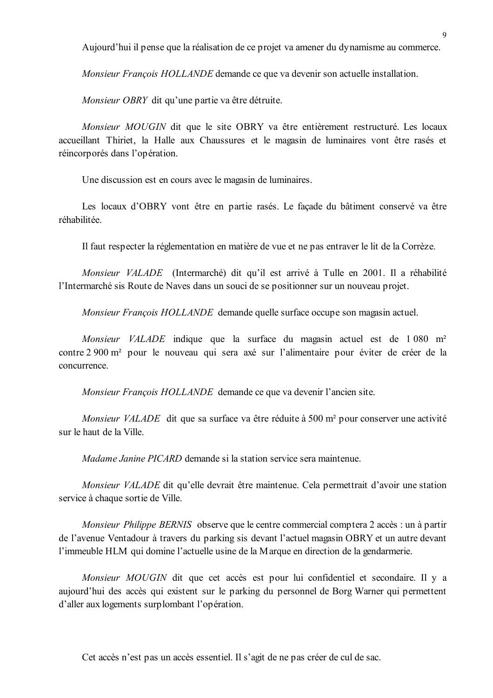Aujourd'hui il pense que la réalisation de ce projet va amener du dynamisme au commerce.

Monsieur François HOLLANDE demande ce que va devenir son actuelle installation.

Monsieur OBRY dit qu'une partie va être détruite.

Monsieur MOUGIN dit que le site OBRY va être entièrement restructuré. Les locaux accueillant Thiriet, la Halle aux Chaussures et le magasin de luminaires vont être rasés et réincorporés dans l'opération.

Une discussion est en cours avec le magasin de luminaires.

Les locaux d'OBRY vont être en partie rasés. Le facade du bâtiment conservé va être réhabilitée

Il faut respecter la réglementation en matière de vue et ne pas entraver le lit de la Corrèze.

Monsieur VALADE (Intermarché) dit qu'il est arrivé à Tulle en 2001. Il a réhabilité l'Intermarché sis Route de Naves dans un souci de se positionner sur un nouveau projet.

Monsieur François HOLLANDE demande quelle surface occupe son magasin actuel.

Monsieur VALADE indique que la surface du magasin actuel est de 1 080 m<sup>2</sup> contre 2 900 m<sup>2</sup> pour le nouveau qui sera axé sur l'alimentaire pour éviter de créer de la concurrence.

Monsieur François HOLLANDE demande ce que va devenir l'ancien site.

Monsieur VALADE dit que sa surface va être réduite à 500 m<sup>2</sup> pour conserver une activité sur le haut de la Ville.

*Madame Janine PICARD* demande si la station service sera maintenue.

Monsieur VALADE dit qu'elle devrait être maintenue. Cela permettrait d'avoir une station service à chaque sortie de Ville.

Monsieur Philippe BERNIS observe que le centre commercial comptera 2 accès : un à partir de l'avenue Ventadour à travers du parking sis devant l'actuel magasin OBRY et un autre devant l'immeuble HLM qui domine l'actuelle usine de la Marque en direction de la gendarmerie.

Monsieur MOUGIN dit que cet accès est pour lui confidentiel et secondaire. Il y a aujourd'hui des accès qui existent sur le parking du personnel de Borg Warner qui permettent d'aller aux logements surplombant l'opération.

Cet accès n'est pas un accès essentiel. Il s'agit de ne pas créer de cul de sac.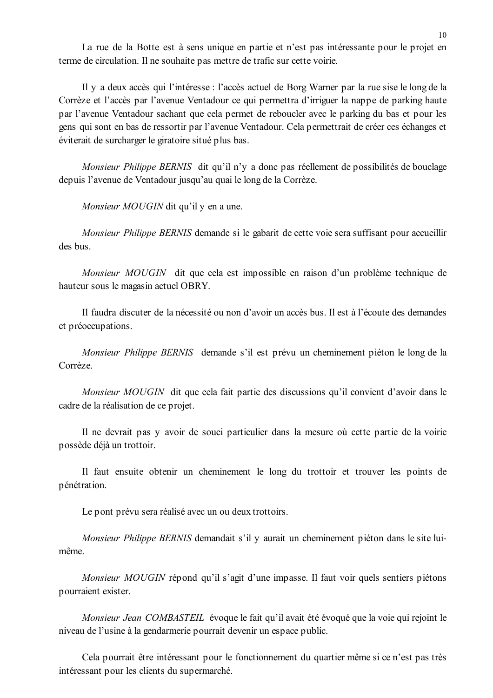La rue de la Botte est à sens unique en partie et n'est pas intéressante pour le projet en terme de circulation. Il ne souhaite pas mettre de trafic sur cette voirie.

Il y a deux accès qui l'intéresse : l'accès actuel de Borg Warner par la rue sise le long de la Corrèze et l'accès par l'avenue Ventadour ce qui permettra d'irriguer la nappe de parking haute par l'avenue Ventadour sachant que cela permet de reboucler avec le parking du bas et pour les gens qui sont en bas de ressortir par l'avenue Ventadour. Cela permettrait de créer ces échanges et éviterait de surcharger le giratoire situé plus bas.

Monsieur Philippe BERNIS dit qu'il n'y a donc pas réellement de possibilités de bouclage depuis l'avenue de Ventadour jusqu'au quai le long de la Corrèze.

Monsieur MOUGIN dit qu'il y en a une.

*Monsieur Philippe BERNIS* demande si le gabarit de cette voie sera suffisant pour accueillir des bus

Monsieur MOUGIN dit que cela est impossible en raison d'un problème technique de hauteur sous le magasin actuel OBRY.

Il faudra discuter de la nécessité ou non d'avoir un accès bus. Il est à l'écoute des demandes et préoccupations.

Monsieur Philippe BERNIS demande s'il est prévu un cheminement piéton le long de la Corrèze.

Monsieur MOUGIN dit que cela fait partie des discussions qu'il convient d'avoir dans le cadre de la réalisation de ce projet.

Il ne devrait pas y avoir de souci particulier dans la mesure où cette partie de la voirie possède déjà un trottoir.

Il faut ensuite obtenir un cheminement le long du trottoir et trouver les points de pénétration.

Le pont prévu sera réalisé avec un ou deux trottoirs.

Monsieur Philippe BERNIS demandait s'il y aurait un cheminement piéton dans le site luimême

*Monsieur MOUGIN* répond qu'il s'agit d'une impasse. Il faut voir quels sentiers piétons pourraient exister.

Monsieur Jean COMBASTEIL évoque le fait qu'il avait été évoqué que la voie qui rejoint le niveau de l'usine à la gendarmerie pourrait devenir un espace public.

Cela pourrait être intéressant pour le fonctionnement du quartier même si ce n'est pas très intéressant pour les clients du supermarché.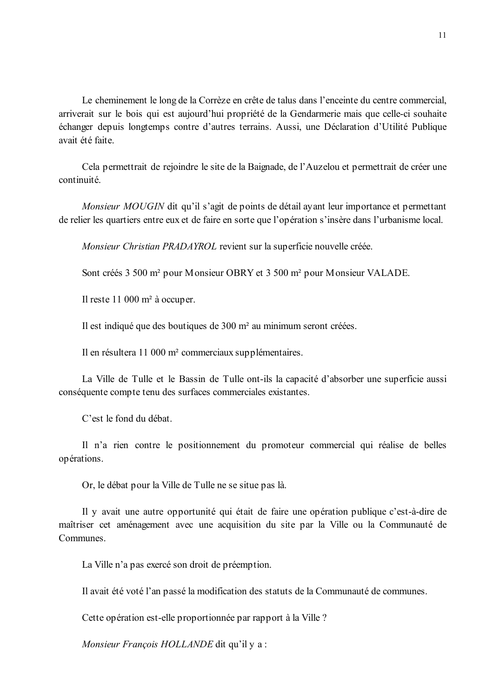Le cheminement le long de la Corrèze en crête de talus dans l'enceinte du centre commercial, arriverait sur le bois qui est aujourd'hui propriété de la Gendarmerie mais que celle-ci souhaite échanger depuis longtemps contre d'autres terrains. Aussi, une Déclaration d'Utilité Publique avait été faite.

Cela permettrait de rejoindre le site de la Baignade, de l'Auzelou et permettrait de créer une continuité

*Monsieur MOUGIN* dit qu'il s'agit de points de détail avant leur importance et permettant de relier les quartiers entre eux et de faire en sorte que l'opération s'insère dans l'urbanisme local.

Monsieur Christian PRADAYROL revient sur la superficie nouvelle créée.

Sont créés 3 500 m<sup>2</sup> pour Monsieur OBRY et 3 500 m<sup>2</sup> pour Monsieur VALADE.

Il reste 11 000 m<sup>2</sup> à occuper.

Il est indiqué que des boutiques de 300 m<sup>2</sup> au minimum seront créées.

Il en résultera 11 000 m<sup>2</sup> commerciaux supplémentaires.

La Ville de Tulle et le Bassin de Tulle ont-ils la capacité d'absorber une superficie aussi conséquente compte tenu des surfaces commerciales existantes.

C'est le fond du débat.

Il n'a rien contre le positionnement du promoteur commercial qui réalise de belles opérations.

Or, le débat pour la Ville de Tulle ne se situe pas là.

Il y avait une autre opportunité qui était de faire une opération publique c'est-à-dire de maîtriser cet aménagement avec une acquisition du site par la Ville ou la Communauté de Communes

La Ville n'a pas exercé son droit de préemption.

Il avait été voté l'an passé la modification des statuts de la Communauté de communes.

Cette opération est-elle proportionnée par rapport à la Ville ?

Monsieur François HOLLANDE dit qu'il y a :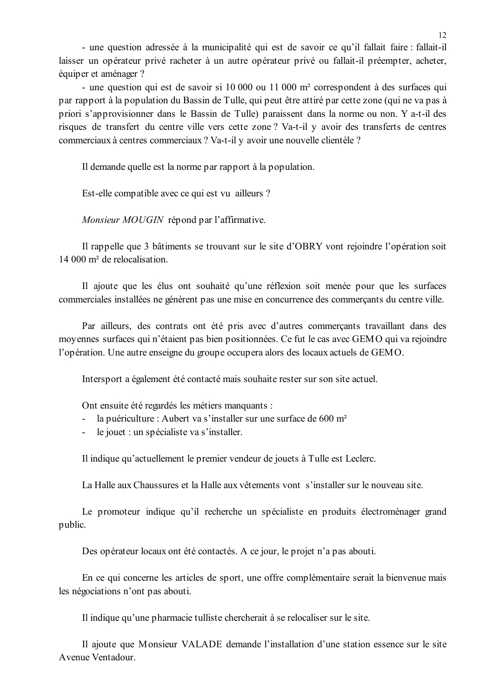- une question adressée à la municipalité qui est de savoir ce qu'il fallait faire : fallait-il laisser un opérateur privé racheter à un autre opérateur privé ou fallait-il préempter, acheter, équiper et aménager ?

- une question qui est de savoir si 10 000 ou 11 000 m<sup>2</sup> correspondent à des surfaces qui par rapport à la population du Bassin de Tulle, qui peut être attiré par cette zone (qui ne va pas à priori s'approvisionner dans le Bassin de Tulle) paraissent dans la norme ou non. Y a-t-il des risques de transfert du centre ville vers cette zone? Va-t-il y avoir des transferts de centres commerciaux à centres commerciaux ? Va-t-il y avoir une nouvelle clientèle ?

Il demande quelle est la norme par rapport à la population.

Est-elle compatible avec ce qui est vu ailleurs ?

Monsieur MOUGIN répond par l'affirmative.

Il rappelle que 3 bâtiments se trouvant sur le site d'OBRY vont rejoindre l'opération soit  $14,000$  m<sup>2</sup> de relocalisation

Il ajoute que les élus ont souhaité qu'une réflexion soit menée pour que les surfaces commerciales installées ne génèrent pas une mise en concurrence des commercants du centre ville.

Par ailleurs, des contrats ont été pris avec d'autres commercants travaillant dans des moyennes surfaces qui n'étaient pas bien positionnées. Ce fut le cas avec GEMO qui va rejoindre l'opération. Une autre enseigne du groupe occupera alors des locaux actuels de GEMO.

Intersport a également été contacté mais souhaite rester sur son site actuel.

Ont ensuite été regardés les métiers manquants :

- la puériculture : Aubert va s'installer sur une surface de 600 m<sup>2</sup>
- le jouet : un spécialiste va s'installer.  $\omega_{\rm{eff}}$

Il indique qu'actuellement le premier vendeur de jouets à Tulle est Leclerc.

La Halle aux Chaussures et la Halle aux vêtements vont s'installer sur le nouveau site.

Le promoteur indique qu'il recherche un spécialiste en produits électroménager grand public.

Des opérateur locaux ont été contactés. A ce jour, le projet n'a pas abouti.

En ce qui concerne les articles de sport, une offre complémentaire serait la bienvenue mais les négociations n'ont pas abouti.

Il indique qu'une pharmacie tulliste chercherait à se relocaliser sur le site.

Il ajoute que Monsieur VALADE demande l'installation d'une station essence sur le site Avenue Ventadour.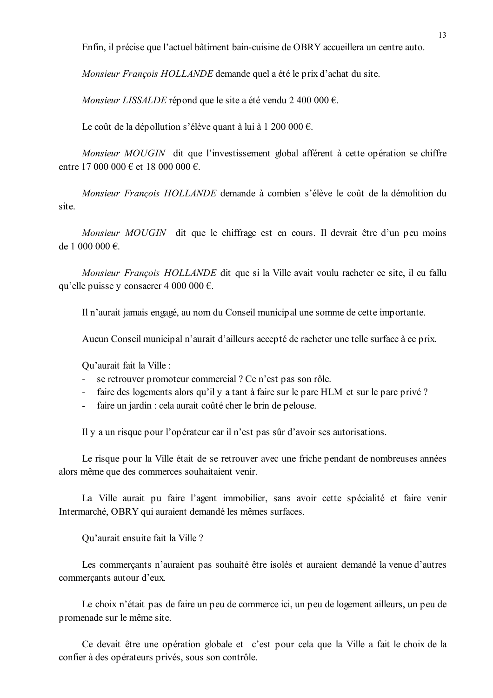Enfin, il précise que l'actuel bâtiment bain-cuisine de OBRY accueillera un centre auto.

Monsieur François HOLLANDE demande quel a été le prix d'achat du site.

Monsieur LISSALDE répond que le site a été vendu 2 400 000  $\epsilon$ .

Le coût de la dépollution s'élève quant à lui à 1 200 000 €.

Monsieur MOUGIN dit que l'investissement global afférent à cette opération se chiffre entre 17 000 000 € et 18 000 000 €

Monsieur François HOLLANDE demande à combien s'élève le coût de la démolition du site.

*Monsieur MOUGIN* dit que le chiffrage est en cours. Il devrait être d'un peu moins de 1 000 000  $\in$ 

Monsieur François HOLLANDE dit que si la Ville avait voulu racheter ce site, il eu fallu qu'elle puisse v consacrer 4 000 000  $\epsilon$ .

Il n'aurait jamais engagé, au nom du Conseil municipal une somme de cette importante.

Aucun Conseil municipal n'aurait d'ailleurs accepté de racheter une telle surface à ce prix.

Qu'aurait fait la Ville :

- $\Delta \phi$ se retrouver promoteur commercial? Ce n'est pas son rôle.
- faire des logements alors qu'il y a tant à faire sur le parc HLM et sur le parc privé ?  $\mathbf{L}^{\text{max}}$
- faire un jardin : cela aurait coûté cher le brin de pelouse.  $\mathbf{r}$

Il y a un risque pour l'opérateur car il n'est pas sûr d'avoir ses autorisations.

Le risque pour la Ville était de se retrouver avec une friche pendant de nombreuses années alors même que des commerces souhaitaient venir.

La Ville aurait pu faire l'agent immobilier, sans avoir cette spécialité et faire venir Intermarché, OBRY qui auraient demandé les mêmes surfaces.

Qu'aurait ensuite fait la Ville ?

Les commerçants n'auraient pas souhaité être isolés et auraient demandé la venue d'autres commercants autour d'eux.

Le choix n'était pas de faire un peu de commerce ici, un peu de logement ailleurs, un peu de promenade sur le même site.

Ce devait être une opération globale et c'est pour cela que la Ville a fait le choix de la confier à des opérateurs privés, sous son contrôle.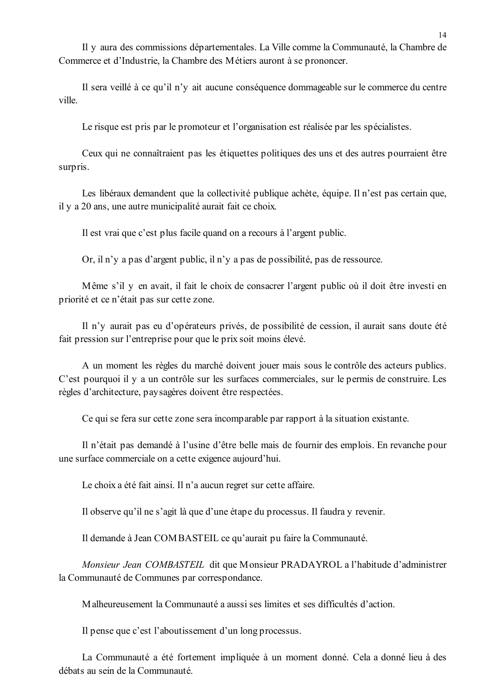Il y aura des commissions départementales. La Ville comme la Communauté, la Chambre de Commerce et d'Industrie, la Chambre des Métiers auront à se prononcer.

Il sera veillé à ce qu'il n'v ait aucune conséquence dommageable sur le commerce du centre ville

Le risque est pris par le promoteur et l'organisation est réalisée par les spécialistes.

Ceux qui ne connaîtraient pas les étiquettes politiques des uns et des autres pourraient être surpris.

Les libéraux demandent que la collectivité publique achète, équipe. Il n'est pas certain que, il y a 20 ans, une autre municipalité aurait fait ce choix.

Il est vrai que c'est plus facile quand on a recours à l'argent public.

Or, il n'y a pas d'argent public, il n'y a pas de possibilité, pas de ressource.

Même s'il y en avait, il fait le choix de consacrer l'argent public où il doit être investi en priorité et ce n'était pas sur cette zone.

Il n'y aurait pas eu d'opérateurs privés, de possibilité de cession, il aurait sans doute été fait pression sur l'entreprise pour que le prix soit moins élevé.

A un moment les règles du marché doivent jouer mais sous le contrôle des acteurs publics. C'est pourquoi il y a un contrôle sur les surfaces commerciales, sur le permis de construire. Les règles d'architecture, paysagères doivent être respectées.

Ce qui se fera sur cette zone sera incomparable par rapport à la situation existante.

Il n'était pas demandé à l'usine d'être belle mais de fournir des emplois. En revanche pour une surface commerciale on a cette exigence aujourd'hui.

Le choix a été fait ainsi. Il n'a aucun regret sur cette affaire.

Il observe qu'il ne s'agit là que d'une étape du processus. Il faudra y revenir.

Il demande à Jean COMBASTEIL ce qu'aurait pu faire la Communauté.

Monsieur Jean COMBASTEIL dit que Monsieur PRADAYROL a l'habitude d'administrer la Communauté de Communes par correspondance.

Malheureusement la Communauté a aussi ses limites et ses difficultés d'action.

Il pense que c'est l'aboutissement d'un long processus.

La Communauté a été fortement impliquée à un moment donné. Cela a donné lieu à des débats au sein de la Communauté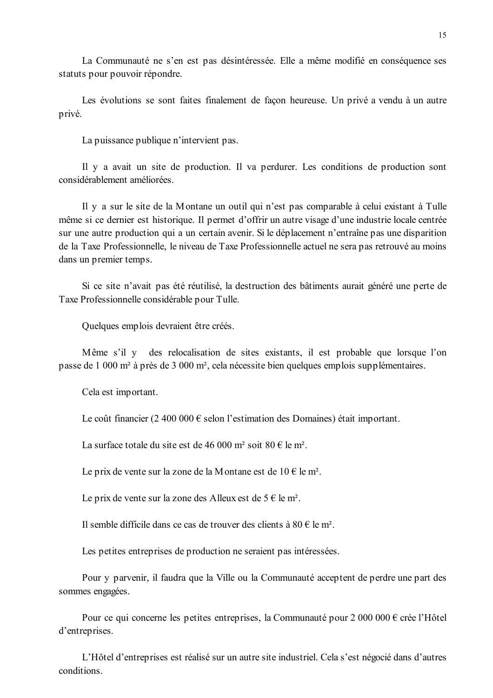La Communauté ne s'en est pas désintéressée. Elle a même modifié en conséquence ses statuts pour pouvoir répondre.

Les évolutions se sont faites finalement de façon heureuse. Un privé a vendu à un autre privé.

La puissance publique n'intervient pas.

Il y a avait un site de production. Il va perdurer. Les conditions de production sont considérablement améliorées

Il y a sur le site de la Montane un outil qui n'est pas comparable à celui existant à Tulle même si ce dernier est historique. Il permet d'offrir un autre visage d'une industrie locale centrée sur une autre production qui a un certain avenir. Si le déplacement n'entraîne pas une disparition de la Taxe Professionnelle, le niveau de Taxe Professionnelle actuel ne sera pas retrouvé au moins dans un premier temps.

Si ce site n'avait pas été réutilisé, la destruction des bâtiments aurait généré une perte de Taxe Professionnelle considérable pour Tulle.

Quelques emplois devraient être créés.

Même s'il y des relocalisation de sites existants, il est probable que lorsque l'on passe de 1 000 m<sup>2</sup> à près de 3 000 m<sup>2</sup>, cela nécessite bien quelques emplois supplémentaires.

Cela est important.

Le coût financier (2 400 000  $\epsilon$  selon l'estimation des Domaines) était important.

La surface totale du site est de 46 000 m<sup>2</sup> soit 80 € le m<sup>2</sup>.

Le prix de vente sur la zone de la Montane est de 10  $\in$  le m<sup>2</sup>.

Le prix de vente sur la zone des Alleux est de  $5 \in \text{le m}^2$ .

Il semble difficile dans ce cas de trouver des clients à  $80 \in \text{le } m^2$ .

Les petites entreprises de production ne seraient pas intéressées.

Pour y parvenir, il faudra que la Ville ou la Communauté acceptent de perdre une part des sommes engagées.

Pour ce qui concerne les petites entreprises, la Communauté pour  $2000000 \in \text{cree}$  l'Hôtel d'entreprises.

L'Hôtel d'entreprises est réalisé sur un autre site industriel. Cela s'est négocié dans d'autres conditions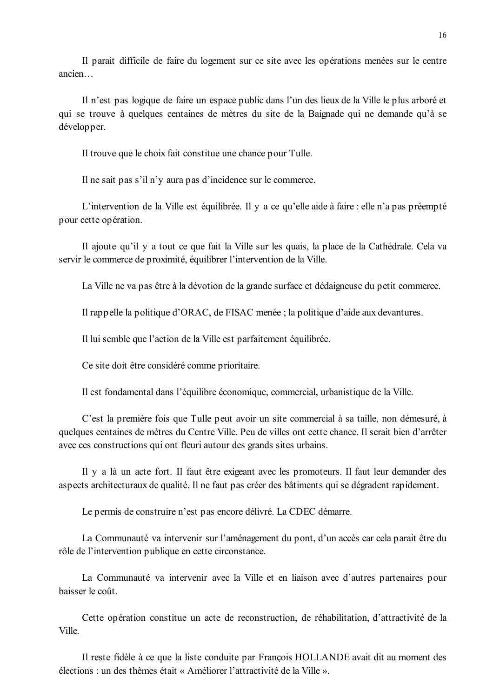Il parait difficile de faire du logement sur ce site avec les opérations menées sur le centre ancien...

Il n'est pas logique de faire un espace public dans l'un des lieux de la Ville le plus arboré et qui se trouve à quelques centaines de mètres du site de la Baignade qui ne demande qu'à se développer.

Il trouve que le choix fait constitue une chance pour Tulle.

Il ne sait pas s'il n'y aura pas d'incidence sur le commerce.

L'intervention de la Ville est équilibrée. Il y a ce qu'elle aide à faire : elle n'a pas préempté pour cette opération.

Il ajoute qu'il y a tout ce que fait la Ville sur les quais, la place de la Cathédrale. Cela va servir le commerce de proximité, équilibrer l'intervention de la Ville.

La Ville ne va pas être à la dévotion de la grande surface et dédaigneuse du petit commerce.

Il rappelle la politique d'ORAC, de FISAC menée ; la politique d'aide aux devantures.

Il lui semble que l'action de la Ville est parfaitement équilibrée.

Ce site doit être considéré comme prioritaire.

Il est fondamental dans l'équilibre économique, commercial, urbanistique de la Ville.

C'est la première fois que Tulle peut avoir un site commercial à sa taille, non démesuré, à quelques centaines de mètres du Centre Ville. Peu de villes ont cette chance. Il serait bien d'arrêter avec ces constructions qui ont fleuri autour des grands sites urbains.

Il y a là un acte fort. Il faut être exigeant avec les promoteurs. Il faut leur demander des aspects architecturaux de qualité. Il ne faut pas créer des bâtiments qui se dégradent rapidement.

Le permis de construire n'est pas encore délivré. La CDEC démarre.

La Communauté va intervenir sur l'aménagement du pont, d'un accès car cela parait être du rôle de l'intervention publique en cette circonstance.

La Communauté va intervenir avec la Ville et en liaison avec d'autres partenaires pour baisser le coût

Cette opération constitue un acte de reconstruction, de réhabilitation, d'attractivité de la Ville

Il reste fidèle à ce que la liste conduite par François HOLLANDE avait dit au moment des élections : un des thèmes était « Améliorer l'attractivité de la Ville »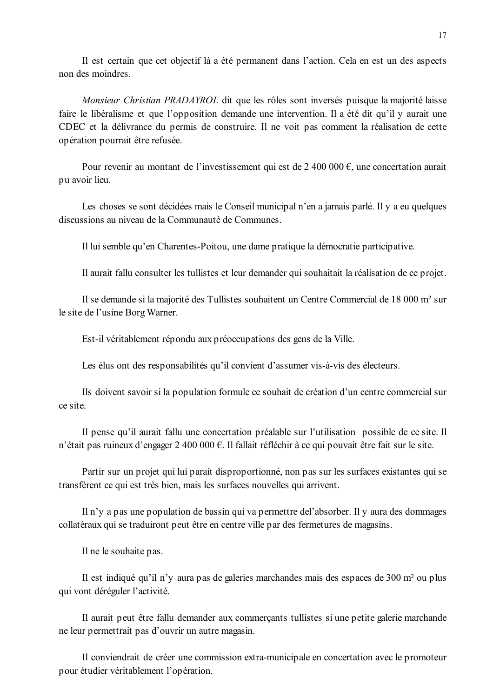Il est certain que cet objectif là a été permanent dans l'action. Cela en est un des aspects non des moindres.

Monsieur Christian PRADAYROL dit que les rôles sont inversés puisque la majorité laisse faire le libéralisme et que l'opposition demande une intervention. Il a été dit qu'il y aurait une CDEC et la délivrance du permis de construire. Il ne voit pas comment la réalisation de cette opération pourrait être refusée.

Pour revenir au montant de l'investissement qui est de 2 400 000  $\epsilon$ , une concertation aurait pu avoir lieu.

Les choses se sont décidées mais le Conseil municipal n'en a jamais parlé. Il y a eu quelques discussions au niveau de la Communauté de Communes.

Il lui semble qu'en Charentes-Poitou, une dame pratique la démocratie participative.

Il aurait fallu consulter les tullistes et leur demander qui souhaitait la réalisation de ce projet.

Il se demande si la majorité des Tullistes souhaitent un Centre Commercial de 18 000 m<sup>2</sup> sur le site de l'usine Borg Warner.

Est-il véritablement répondu aux préoccupations des gens de la Ville.

Les élus ont des responsabilités qu'il convient d'assumer vis-à-vis des électeurs.

Ils doivent savoir si la population formule ce souhait de création d'un centre commercial sur ce site

Il pense qu'il aurait fallu une concertation préalable sur l'utilisation possible de ce site. Il n'était pas ruineux d'engager 2 400 000 €. Il fallait réfléchir à ce qui pouvait être fait sur le site.

Partir sur un projet qui lui parait disproportionné, non pas sur les surfaces existantes qui se transfèrent ce qui est très bien, mais les surfaces nouvelles qui arrivent.

Il n'y a pas une population de bassin qui va permettre del'absorber. Il y aura des dommages collatéraux qui se traduiront peut être en centre ville par des fermetures de magasins.

Il ne le souhaite pas.

Il est indiqué qu'il n'y aura pas de galeries marchandes mais des espaces de 300 m<sup>2</sup> ou plus qui vont déréguler l'activité.

Il aurait peut être fallu demander aux commerçants tullistes si une petite galerie marchande ne leur permettrait pas d'ouvrir un autre magasin.

Il conviendrait de créer une commission extra-municipale en concertation avec le promoteur pour étudier véritablement l'opération.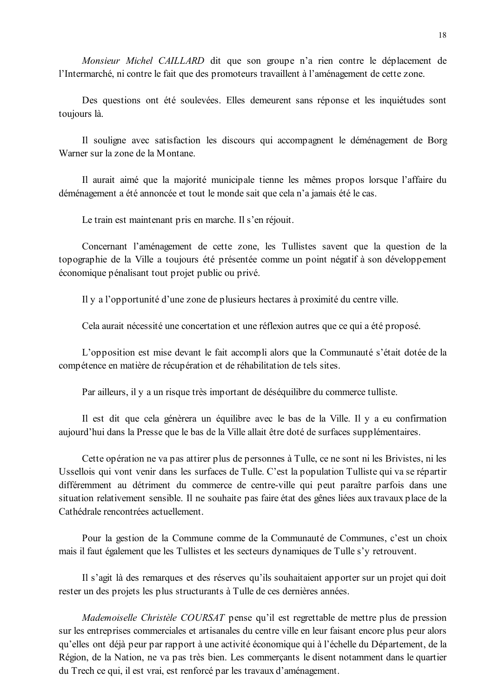Monsieur Michel CAILLARD dit que son groupe n'a rien contre le déplacement de l'Intermarché, ni contre le fait que des promoteurs travaillent à l'aménagement de cette zone.

Des questions ont été soulevées. Elles demeurent sans réponse et les inquiétudes sont toujours là.

Il souligne avec satisfaction les discours qui accompagnent le déménagement de Borg Warner sur la zone de la Montane

Il aurait aimé que la majorité municipale tienne les mêmes propos lorsque l'affaire du déménagement a été annoncée et tout le monde sait que cela n'a jamais été le cas.

Le train est maintenant pris en marche. Il s'en réjouit.

Concernant l'aménagement de cette zone, les Tullistes savent que la question de la topographie de la Ville a toujours été présentée comme un point négatif à son développement économique pénalisant tout projet public ou privé.

Il y a l'opportunité d'une zone de plusieurs hectares à proximité du centre ville.

Cela aurait nécessité une concertation et une réflexion autres que ce qui a été proposé.

L'opposition est mise devant le fait accompli alors que la Communauté s'était dotée de la compétence en matière de récupération et de réhabilitation de tels sites.

Par ailleurs, il y a un risque très important de déséquilibre du commerce tulliste.

Il est dit que cela génèrera un équilibre avec le bas de la Ville. Il y a eu confirmation aujourd'hui dans la Presse que le bas de la Ville allait être doté de surfaces supplémentaires.

Cette opération ne va pas attirer plus de personnes à Tulle, ce ne sont ni les Brivistes, ni les Ussellois qui vont venir dans les surfaces de Tulle. C'est la population Tulliste qui va se répartir différemment au détriment du commerce de centre-ville qui peut paraître parfois dans une situation relativement sensible. Il ne souhaite pas faire état des gênes liées aux travaux place de la Cathédrale rencontrées actuellement.

Pour la gestion de la Commune comme de la Communauté de Communes, c'est un choix mais il faut également que les Tullistes et les secteurs dynamiques de Tulle s'y retrouvent.

Il s'agit là des remarques et des réserves qu'ils souhaitaient apporter sur un projet qui doit rester un des projets les plus structurants à Tulle de ces dernières années.

Mademoiselle Christèle COURSAT pense qu'il est regrettable de mettre plus de pression sur les entreprises commerciales et artisanales du centre ville en leur faisant encore plus peur alors qu'elles ont déjà peur par rapport à une activité économique qui à l'échelle du Département, de la Région, de la Nation, ne va pas très bien. Les commercants le disent notamment dans le quartier du Trech ce qui, il est vrai, est renforcé par les travaux d'aménagement.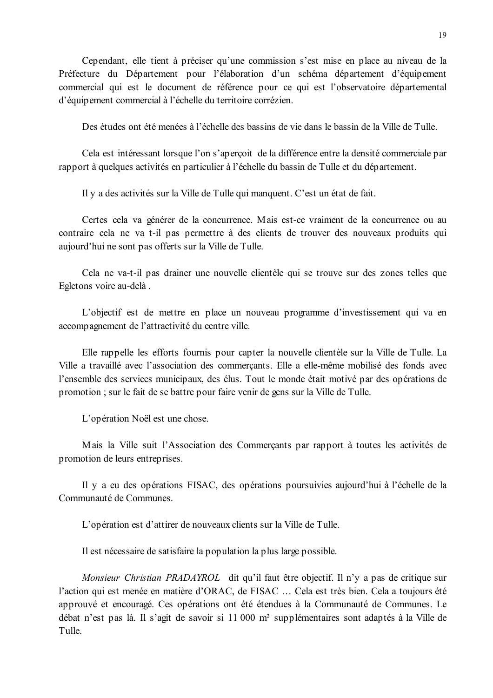Cependant, elle tient à préciser qu'une commission s'est mise en place au niveau de la Préfecture du Département pour l'élaboration d'un schéma département d'équipement commercial qui est le document de référence pour ce qui est l'observatoire départemental d'équipement commercial à l'échelle du territoire corrézien.

Des études ont été menées à l'échelle des bassins de vie dans le bassin de la Ville de Tulle

Cela est intéressant lorsque l'on s'aperçoit de la différence entre la densité commerciale par rapport à quelques activités en particulier à l'échelle du bassin de Tulle et du département.

Il y a des activités sur la Ville de Tulle qui manquent. C'est un état de fait.

Certes cela va générer de la concurrence. Mais est-ce vraiment de la concurrence ou au contraire cela ne va t-il pas permettre à des clients de trouver des nouveaux produits qui aujourd'hui ne sont pas offerts sur la Ville de Tulle.

Cela ne va-t-il pas drainer une nouvelle clientèle qui se trouve sur des zones telles que Egletons voire au-delà.

L'objectif est de mettre en place un nouveau programme d'investissement qui va en accompagnement de l'attractivité du centre ville.

Elle rappelle les efforts fournis pour capter la nouvelle clientèle sur la Ville de Tulle. La Ville a travaillé avec l'association des commerçants. Elle a elle-même mobilisé des fonds avec l'ensemble des services municipaux, des élus. Tout le monde était motivé par des opérations de promotion; sur le fait de se battre pour faire venir de gens sur la Ville de Tulle.

L'opération Noël est une chose.

Mais la Ville suit l'Association des Commerçants par rapport à toutes les activités de promotion de leurs entreprises.

Il y a eu des opérations FISAC, des opérations poursuivies aujourd'hui à l'échelle de la Communauté de Communes

L'opération est d'attirer de nouveaux clients sur la Ville de Tulle.

Il est nécessaire de satisfaire la population la plus large possible.

*Monsieur Christian PRADAYROL* dit qu'il faut être objectif. Il n'y a pas de critique sur l'action qui est menée en matière d'ORAC, de FISAC ... Cela est très bien. Cela a toujours été approuvé et encouragé. Ces opérations ont été étendues à la Communauté de Communes. Le débat n'est pas là. Il s'agit de savoir si 11 000 m<sup>2</sup> supplémentaires sont adaptés à la Ville de Tulle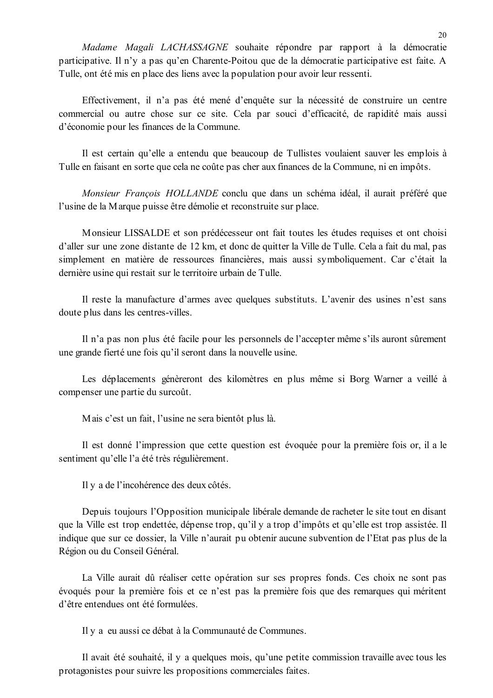Madame Magali LACHASSAGNE souhaite répondre par rapport à la démocratie participative. Il n'y a pas qu'en Charente-Poitou que de la démocratie participative est faite. A Tulle, ont été mis en place des liens avec la population pour avoir leur ressenti.

Effectivement, il n'a pas été mené d'enquête sur la nécessité de construire un centre commercial ou autre chose sur ce site. Cela par souci d'efficacité, de rapidité mais aussi d'économie pour les finances de la Commune.

Il est certain qu'elle a entendu que beaucoup de Tullistes voulaient sauver les emplois à Tulle en faisant en sorte que cela ne coûte pas cher aux finances de la Commune, ni en impôts.

Monsieur François HOLLANDE conclu que dans un schéma idéal, il aurait préféré que l'usine de la Marque puisse être démolie et reconstruite sur place.

Monsieur LISSALDE et son prédécesseur ont fait toutes les études requises et ont choisi d'aller sur une zone distante de 12 km, et donc de quitter la Ville de Tulle. Cela a fait du mal, pas simplement en matière de ressources financières, mais aussi symboliquement. Car c'était la dernière usine qui restait sur le territoire urbain de Tulle.

Il reste la manufacture d'armes avec quelques substituts. L'avenir des usines n'est sans doute plus dans les centres-villes.

Il n'a pas non plus été facile pour les personnels de l'accepter même s'ils auront sûrement une grande fierté une fois qu'il seront dans la nouvelle usine.

Les déplacements génèreront des kilomètres en plus même si Borg Warner a veillé à compenser une partie du surcoût.

Mais c'est un fait, l'usine ne sera bientôt plus là.

Il est donné l'impression que cette question est évoquée pour la première fois or, il a le sentiment qu'elle l'a été très régulièrement.

Il y a de l'incohérence des deux côtés.

Depuis toujours l'Opposition municipale libérale demande de racheter le site tout en disant que la Ville est trop endettée, dépense trop, qu'il y a trop d'impôts et qu'elle est trop assistée. Il indique que sur ce dossier, la Ville n'aurait pu obtenir aucune subvention de l'Etat pas plus de la Région ou du Conseil Général.

La Ville aurait dû réaliser cette opération sur ses propres fonds. Ces choix ne sont pas évoqués pour la première fois et ce n'est pas la première fois que des remarques qui méritent d'être entendues ont été formulées.

Il y a eu aussi ce débat à la Communauté de Communes.

Il avait été souhaité, il y a quelques mois, qu'une petite commission travaille avec tous les protagonistes pour suivre les propositions commerciales faites.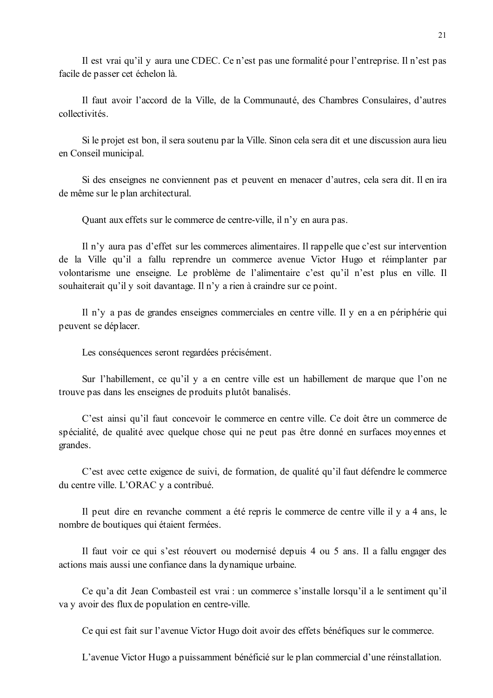Il est vrai qu'il y aura une CDEC. Ce n'est pas une formalité pour l'entreprise. Il n'est pas facile de passer cet échelon là.

Il faut avoir l'accord de la Ville, de la Communauté, des Chambres Consulaires, d'autres collectivités.

Si le projet est bon, il sera soutenu par la Ville. Sinon cela sera dit et une discussion aura lieu en Conseil municipal.

Si des enseignes ne conviennent pas et peuvent en menacer d'autres, cela sera dit. Il en ira de même sur le plan architectural.

Quant aux effets sur le commerce de centre-ville, il n'y en aura pas.

Il n'y aura pas d'effet sur les commerces alimentaires. Il rappelle que c'est sur intervention de la Ville qu'il a fallu reprendre un commerce avenue Victor Hugo et réimplanter par volontarisme une enseigne. Le problème de l'alimentaire c'est qu'il n'est plus en ville. Il souhaiterait qu'il v soit davantage. Il n'v a rien à craindre sur ce point.

Il n'y a pas de grandes enseignes commerciales en centre ville. Il y en a en périphérie qui peuvent se déplacer.

Les conséquences seront regardées précisément.

Sur l'habillement, ce qu'il y a en centre ville est un habillement de marque que l'on ne trouve pas dans les enseignes de produits plutôt banalisés.

C'est ainsi qu'il faut concevoir le commerce en centre ville. Ce doit être un commerce de spécialité, de qualité avec quelque chose qui ne peut pas être donné en surfaces moyennes et grandes.

C'est avec cette exigence de suivi, de formation, de qualité qu'il faut défendre le commerce du centre ville. L'ORAC y a contribué.

Il peut dire en revanche comment a été repris le commerce de centre ville il y a 4 ans, le nombre de boutiques qui étaient fermées.

Il faut voir ce qui s'est réouvert ou modernisé depuis 4 ou 5 ans. Il a fallu engager des actions mais aussi une confiance dans la dynamique urbaine.

Ce qu'a dit Jean Combasteil est vrai : un commerce s'installe lorsqu'il a le sentiment qu'il va y avoir des flux de population en centre-ville.

Ce qui est fait sur l'avenue Victor Hugo doit avoir des effets bénéfiques sur le commerce.

L'avenue Victor Hugo a puissamment bénéficié sur le plan commercial d'une réinstallation.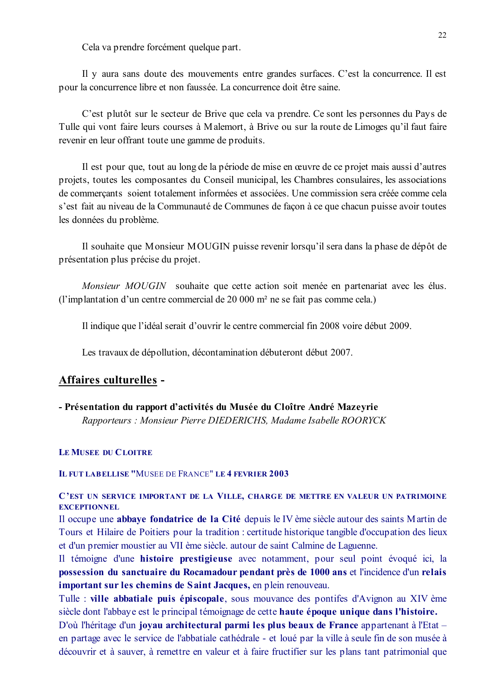Cela va prendre forcément quelque part.

Il y aura sans doute des mouvements entre grandes surfaces. C'est la concurrence. Il est pour la concurrence libre et non faussée. La concurrence doit être saine.

C'est plutôt sur le secteur de Brive que cela va prendre. Ce sont les personnes du Pays de Tulle qui vont faire leurs courses à Malemort, à Brive ou sur la route de Limoges qu'il faut faire revenir en leur offrant toute une gamme de produits.

Il est pour que, tout au long de la période de mise en œuvre de ce projet mais aussi d'autres projets, toutes les composantes du Conseil municipal, les Chambres consulaires, les associations de commercants soient totalement informées et associées. Une commission sera créée comme cela s'est fait au niveau de la Communauté de Communes de facon à ce que chacun puisse avoir toutes les données du problème.

Il souhaite que Monsieur MOUGIN puisse revenir lorsqu'il sera dans la phase de dépôt de présentation plus précise du projet.

*Monsieur MOUGIN* souhaite que cette action soit menée en partenariat avec les élus. (l'implantation d'un centre commercial de 20 000 m<sup>2</sup> ne se fait pas comme cela.)

Il indique que l'idéal serait d'ouvrir le centre commercial fin 2008 voire début 2009.

Les travaux de dépollution, décontamination débuteront début 2007.

### Affaires culturelles -

- Présentation du rapport d'activités du Musée du Cloître André Mazeyrie Rapporteurs : Monsieur Pierre DIEDERICHS, Madame Isabelle ROORYCK

#### LE MUSEE DU CLOITRE

#### **IL FUT LABELLISE "MUSEE DE FRANCE" LE 4 FEVRIER 2003**

#### C'EST UN SERVICE IMPORTANT DE LA VILLE, CHARGE DE METTRE EN VALEUR UN PATRIMOINE **EXCEPTIONNEL**

Il occupe une abbaye fondatrice de la Cité depuis le IV ème siècle autour des saints Martin de Tours et Hilaire de Poitiers pour la tradition : certitude historique tangible d'occupation des lieux et d'un premier moustier au VII ème siècle, autour de saint Calmine de Laguenne.

Il témoigne d'une histoire prestigieuse avec notamment, pour seul point évoqué ici, la possession du sanctuaire du Rocamadour pendant près de 1000 ans et l'incidence d'un relais important sur les chemins de Saint Jacques, en plein renouveau.

Tulle : ville abbatiale puis épiscopale, sous mouvance des pontifes d'Avignon au XIV ème siècle dont l'abbaye est le principal témoignage de cette haute époque unique dans l'histoire.

D'où l'héritage d'un jovau architectural parmi les plus beaux de France appartenant à l'Etat – en partage avec le service de l'abbatiale cathédrale - et loué par la ville à seule fin de son musée à découvrir et à sauver, à remettre en valeur et à faire fructifier sur les plans tant patrimonial que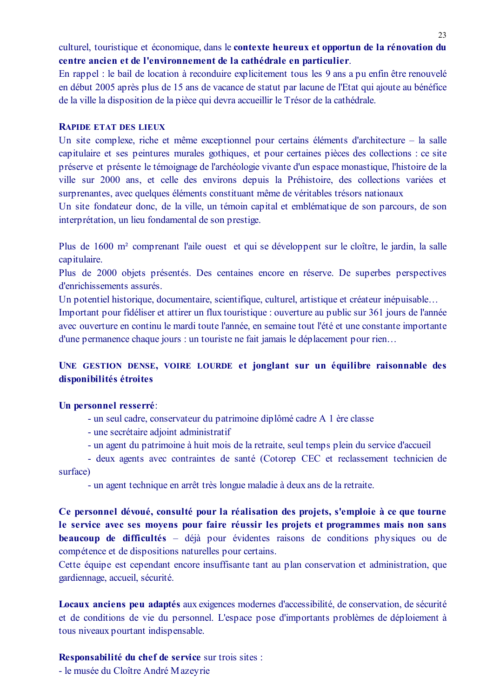culturel, touristique et économique, dans le contexte heureux et opportun de la rénovation du centre ancien et de l'environnement de la cathédrale en particulier.

En rappel : le bail de location à reconduire explicitement tous les 9 ans a pu enfin être renouvelé en début 2005 après plus de 15 ans de vacance de statut par lacune de l'Etat qui ajoute au bénéfice de la ville la disposition de la pièce qui devra accueillir le Trésor de la cathédrale.

#### **RAPIDE ETAT DES LIEUX**

Un site complexe, riche et même exceptionnel pour certains éléments d'architecture - la salle capitulaire et ses peintures murales gothiques, et pour certaines pièces des collections : ce site préserve et présente le témoignage de l'archéologie vivante d'un espace monastique, l'histoire de la ville sur 2000 ans, et celle des environs depuis la Préhistoire, des collections variées et surprenantes, avec quelques éléments constituant même de véritables trésors nationaux

Un site fondateur donc, de la ville, un témoin capital et emblématique de son parcours, de son interprétation, un lieu fondamental de son prestige.

Plus de 1600 m<sup>2</sup> comprenant l'aile ouest et qui se développent sur le cloître, le jardin, la salle capitulaire.

Plus de 2000 objets présentés. Des centaines encore en réserve. De superbes perspectives d'enrichissements assurés.

Un potentiel historique, documentaire, scientifique, culturel, artistique et créateur inépuisable...

Important pour fidéliser et attirer un flux touristique : ouverture au public sur 361 jours de l'année avec ouverture en continu le mardi toute l'année, en semaine tout l'été et une constante importante d'une permanence chaque jours : un touriste ne fait jamais le déplacement pour rien...

# UNE GESTION DENSE, VOIRE LOURDE et jonglant sur un équilibre raisonnable des disponibilités étroites

#### Un personnel resserré:

- un seul cadre, conservateur du patrimoine diplômé cadre A 1 ère classe
- une secrétaire adjoint administratif
- un agent du patrimoine à huit mois de la retraite, seul temps plein du service d'accueil

- deux agents avec contraintes de santé (Cotorep CEC et reclassement technicien de surface)

- un agent technique en arrêt très longue maladie à deux ans de la retraite.

Ce personnel dévoué, consulté pour la réalisation des projets, s'emploie à ce que tourne le service avec ses moyens pour faire réussir les projets et programmes mais non sans beaucoup de difficultés – déjà pour évidentes raisons de conditions physiques ou de compétence et de dispositions naturelles pour certains.

Cette équipe est cependant encore insuffisante tant au plan conservation et administration, que gardiennage, accueil, sécurité.

Locaux anciens peu adaptés aux exigences modernes d'accessibilité, de conservation, de sécurité et de conditions de vie du personnel. L'espace pose d'importants problèmes de déploiement à tous niveaux pourtant indispensable.

### Responsabilité du chef de service sur trois sites :

- le musée du Cloître André Mazevrie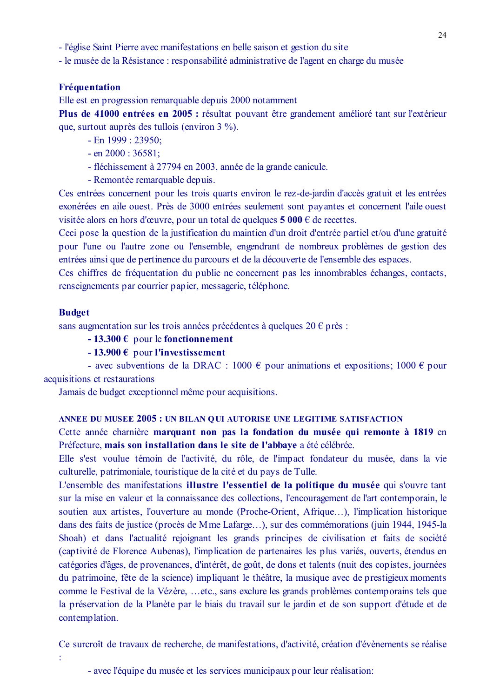- l'église Saint Pierre avec manifestations en belle saison et gestion du site

- le musée de la Résistance : responsabilité administrative de l'agent en charge du musée

#### Fréquentation

Elle est en progression remarquable depuis 2000 notamment

Plus de 41000 entrées en 2005 : résultat pouvant être grandement amélioré tant sur l'extérieur que, surtout auprès des tullois (environ 3 %).

- $-$  En 1999 : 23950;
- $-$  en 2000 : 36581;
- fléchissement à 27794 en 2003, année de la grande canicule.
- Remontée remarquable depuis.

Ces entrées concernent pour les trois quarts environ le rez-de-jardin d'accès gratuit et les entrées exonérées en aile ouest. Près de 3000 entrées seulement sont payantes et concernent l'aile ouest visitée alors en hors d'œuvre, pour un total de quelques  $5000 \in$  de recettes.

Ceci pose la question de la justification du maintien d'un droit d'entrée partiel et/ou d'une gratuité pour l'une ou l'autre zone ou l'ensemble, engendrant de nombreux problèmes de gestion des entrées ainsi que de pertinence du parcours et de la découverte de l'ensemble des espaces.

Ces chiffres de fréquentation du public ne concernent pas les innombrables échanges, contacts, renseignements par courrier papier, messagerie, téléphone.

#### **Budget**

sans augmentation sur les trois années précédentes à quelques  $20 \in \text{près}$ :

- 13.300  $\epsilon$  pour le fonctionnement

#### $-13.900 \text{ }\epsilon$  pour l'investissement

- avec subventions de la DRAC : 1000  $\epsilon$  pour animations et expositions; 1000  $\epsilon$  pour acquisitions et restaurations

Jamais de budget exceptionnel même pour acquisitions.

#### ANNEE DU MUSEE 2005 : UN BILAN OUI AUTORISE UNE LEGITIME SATISFACTION

Cette année charnière marquant non pas la fondation du musée qui remonte à 1819 en Préfecture, mais son installation dans le site de l'abbaye a été célébrée.

Elle s'est voulue témoin de l'activité, du rôle, de l'impact fondateur du musée, dans la vie culturelle, patrimoniale, touristique de la cité et du pays de Tulle.

L'ensemble des manifestations illustre l'essentiel de la politique du musée qui s'ouvre tant sur la mise en valeur et la connaissance des collections, l'encouragement de l'art contemporain, le soutien aux artistes, l'ouverture au monde (Proche-Orient, Afrique...), l'implication historique dans des faits de justice (procès de Mme Lafarge...), sur des commémorations (juin 1944, 1945-la Shoah) et dans l'actualité rejoignant les grands principes de civilisation et faits de société (captivité de Florence Aubenas), l'implication de partenaires les plus variés, ouverts, étendus en catégories d'âges, de provenances, d'intérêt, de goût, de dons et talents (nuit des copistes, journées du patrimoine, fête de la science) impliquant le théâtre, la musique avec de prestigieux moments comme le Festival de la Vézère, ... etc., sans exclure les grands problèmes contemporains tels que la préservation de la Planète par le biais du travail sur le jardin et de son support d'étude et de contemplation.

Ce surcroît de travaux de recherche, de manifestations, d'activité, création d'évènements se réalise

<sup>-</sup> avec l'équipe du musée et les services municipaux pour leur réalisation: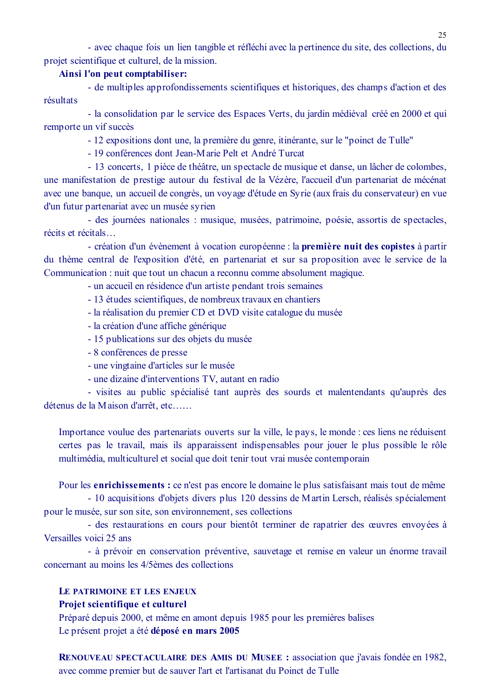- avec chaque fois un lien tangible et réfléchi avec la pertinence du site, des collections, du projet scientifique et culturel, de la mission.

### Ainsi l'on peut comptabiliser:

- de multiples approfondissements scientifiques et historiques, des champs d'action et des résultats

- la consolidation par le service des Espaces Verts, du jardin médiéval créé en 2000 et qui remporte un vif succès

- 12 expositions dont une, la première du genre, itinérante, sur le "poinct de Tulle"

- 19 conférences dont Jean-Marie Pelt et André Turcat

- 13 concerts, 1 pièce de théâtre, un spectacle de musique et danse, un lâcher de colombes, une manifestation de prestige autour du festival de la Vézère, l'accueil d'un partenariat de mécénat avec une banque, un accueil de congrès, un voyage d'étude en Syrie (aux frais du conservateur) en vue d'un futur partenariat avec un musée syrien

- des journées nationales : musique, musées, patrimoine, poésie, assortis de spectacles, récits et récitals...

- création d'un évènement à vocation européenne : la première nuit des copistes à partir du thème central de l'exposition d'été, en partenariat et sur sa proposition avec le service de la Communication : nuit que tout un chacun a reconnu comme absolument magique.

- un accueil en résidence d'un artiste pendant trois semaines

- 13 études scientifiques, de nombreux travaux en chantiers
- la réalisation du premier CD et DVD visite catalogue du musée
- la création d'une affiche générique
- 15 publications sur des objets du musée
- 8 conférences de presse
- une vingtaine d'articles sur le musée
- une dizaine d'interventions TV, autant en radio

- visites au public spécialisé tant auprès des sourds et malentendants qu'auprès des détenus de la Maison d'arrêt, etc......

Importance voulue des partenariats ouverts sur la ville, le pays, le monde : ces liens ne réduisent certes pas le travail, mais ils apparaissent indispensables pour jouer le plus possible le rôle multimédia, multiculturel et social que doit tenir tout vrai musée contemporain

Pour les enrichissements : ce n'est pas encore le domaine le plus satisfaisant mais tout de même - 10 acquisitions d'objets divers plus 120 dessins de Martin Lersch, réalisés spécialement pour le musée, sur son site, son environnement, ses collections

- des restaurations en cours pour bientôt terminer de rapatrier des œuvres envoyées à Versailles voici 25 ans

- à prévoir en conservation préventive, sauvetage et remise en valeur un énorme travail concernant au moins les 4/5èmes des collections

#### LE PATRIMOINE ET LES ENJEUX

#### Projet scientifique et culturel

Préparé depuis 2000, et même en amont depuis 1985 pour les premières balises Le présent projet a été déposé en mars 2005

RENOUVEAU SPECTACULAIRE DES AMIS DU MUSEE : association que j'avais fondée en 1982, avec comme premier but de sauver l'art et l'artisanat du Poinct de Tulle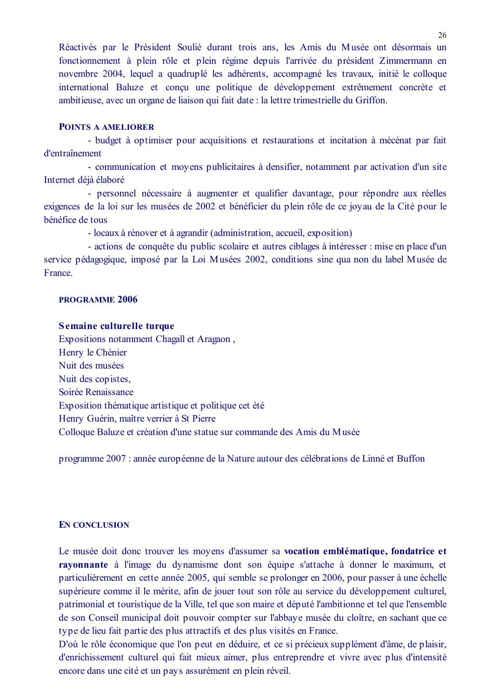Réactivés par le Président Soulié durant trois ans, les Amis du Musée ont désormais un fonctionnement à plein rôle et plein régime depuis l'arrivée du président Zimmermann en novembre 2004, lequel a quadruplé les adhérents, accompagné les travaux, initié le colloque international Baluze et conçu une politique de développement extrêmement concrète et ambitieuse, avec un organe de liaison qui fait date : la lettre trimestrielle du Griffon.

#### **POINTS A AMELIORER**

- budget à optimiser pour acquisitions et restaurations et incitation à mécénat par fait d'entraînement

- communication et moyens publicitaires à densifier, notamment par activation d'un site Internet déjà élaboré

- personnel nécessaire à augmenter et qualifier davantage, pour répondre aux réelles exigences de la loi sur les musées de 2002 et bénéficier du plein rôle de ce jovau de la Cité pour le bénéfice de tous

- locaux à rénover et à agrandir (administration, accueil, exposition)

- actions de conquête du public scolaire et autres ciblages à intéresser : mise en place d'un service pédagogique, imposé par la Loi Musées 2002, conditions sine qua non du label Musée de France

#### **PROGRAMME 2006**

#### Semaine culturelle turque

Expositions notamment Chagall et Aragaon, Henry le Chénier Nuit des musées Nuit des copistes. Soirée Renaissance Exposition thématique artistique et politique cet été Henry Guérin, maître verrier à St Pierre Colloque Baluze et création d'une statue sur commande des Amis du Musée

programme 2007 : année européenne de la Nature autour des célébrations de Linné et Buffon

#### **EN CONCLUSION**

Le musée doit donc trouver les moyens d'assumer sa vocation emblématique, fondatrice et rayonnante à l'image du dynamisme dont son équipe s'attache à donner le maximum, et particulièrement en cette année 2005, qui semble se prolonger en 2006, pour passer à une échelle supérieure comme il le mérite, afin de jouer tout son rôle au service du développement culturel, patrimonial et touristique de la Ville, tel que son maire et député l'ambitionne et tel que l'ensemble de son Conseil municipal doit pouvoir compter sur l'abbaye musée du cloître, en sachant que ce type de lieu fait partie des plus attractifs et des plus visités en France.

D'où le rôle économique que l'on peut en déduire, et ce si précieux supplément d'âme, de plaisir, d'enrichissement culturel qui fait mieux aimer, plus entreprendre et vivre avec plus d'intensité encore dans une cité et un pays assurément en plein réveil.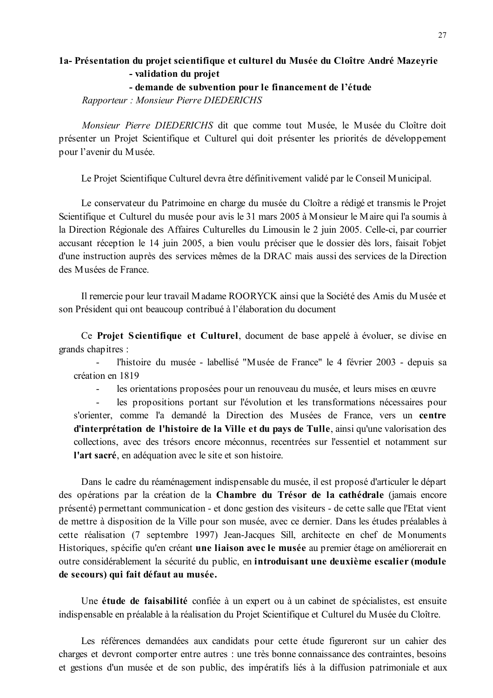### 1a- Présentation du projet scientifique et culturel du Musée du Cloître André Mazeyrie - validation du projet - demande de subvention pour le financement de l'étude

Rapporteur: Monsieur Pierre DIEDERICHS

Monsieur Pierre DIEDERICHS dit que comme tout Musée, le Musée du Cloître doit présenter un Projet Scientifique et Culturel qui doit présenter les priorités de développement pour l'avenir du Musée.

Le Projet Scientifique Culturel devra être définitivement validé par le Conseil Municipal.

Le conservateur du Patrimoine en charge du musée du Cloître a rédigé et transmis le Projet Scientifique et Culturel du musée pour avis le 31 mars 2005 à Monsieur le Maire qui l'a soumis à la Direction Régionale des Affaires Culturelles du Limousin le 2 juin 2005. Celle-ci, par courrier accusant réception le 14 juin 2005, a bien voulu préciser que le dossier dès lors, faisait l'objet d'une instruction auprès des services mêmes de la DRAC mais aussi des services de la Direction des Musées de France

Il remercie pour leur travail Madame ROORYCK ainsi que la Société des Amis du Musée et son Président qui ont beaucoup contribué à l'élaboration du document

Ce Projet Scientifique et Culturel, document de base appelé à évoluer, se divise en grands chapitres :

l'histoire du musée - labellisé "Musée de France" le 4 février 2003 - depuis sa création en 1819

les orientations proposées pour un renouveau du musée, et leurs mises en œuvre 

 $\overline{a}$ les propositions portant sur l'évolution et les transformations nécessaires pour s'orienter, comme l'a demandé la Direction des Musées de France, vers un centre d'interprétation de l'histoire de la Ville et du pays de Tulle, ainsi qu'une valorisation des collections, avec des trésors encore méconnus, recentrées sur l'essentiel et notamment sur l'art sacré, en adéquation avec le site et son histoire.

Dans le cadre du réaménagement indispensable du musée, il est proposé d'articuler le départ des opérations par la création de la Chambre du Trésor de la cathédrale (jamais encore présenté) permettant communication - et donc gestion des visiteurs - de cette salle que l'Etat vient de mettre à disposition de la Ville pour son musée, avec ce dernier. Dans les études préalables à cette réalisation (7 septembre 1997) Jean-Jacques Sill, architecte en chef de Monuments Historiques, spécifie qu'en créant une liaison avec le musée au premier étage on améliorerait en outre considérablement la sécurité du public, en introduisant une deuxième escalier (module de secours) qui fait défaut au musée.

Une étude de faisabilité confiée à un expert ou à un cabinet de spécialistes, est ensuite indispensable en préalable à la réalisation du Projet Scientifique et Culturel du Musée du Cloître.

Les références demandées aux candidats pour cette étude figureront sur un cahier des charges et devront comporter entre autres : une très bonne connaissance des contraintes, besoins et gestions d'un musée et de son public, des impératifs liés à la diffusion patrimoniale et aux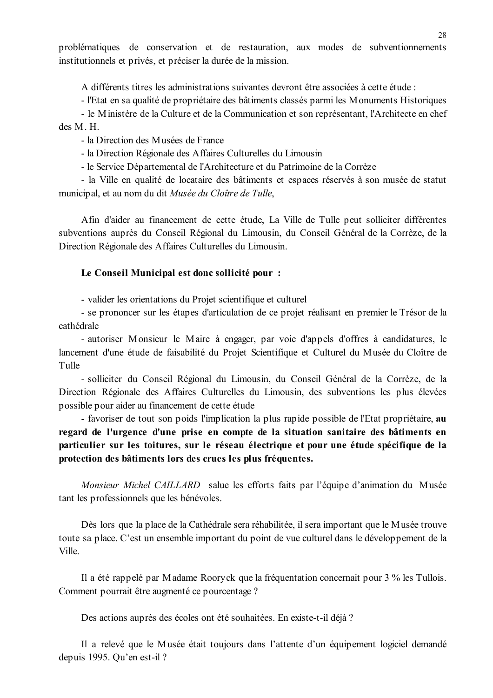problématiques de conservation et de restauration, aux modes de subventionnements institutionnels et privés, et préciser la durée de la mission.

A différents titres les administrations suivantes devront être associées à cette étude :

- l'Etat en sa qualité de propriétaire des bâtiments classés parmi les Monuments Historiques

- le Ministère de la Culture et de la Communication et son représentant, l'Architecte en chef  $des M H$ 

- la Direction des Musées de France

- la Direction Régionale des Affaires Culturelles du Limousin

- le Service Départemental de l'Architecture et du Patrimoine de la Corrèze

- la Ville en qualité de locataire des bâtiments et espaces réservés à son musée de statut municipal, et au nom du dit Musée du Cloître de Tulle,

Afin d'aider au financement de cette étude, La Ville de Tulle peut solliciter différentes subventions auprès du Conseil Régional du Limousin, du Conseil Général de la Corrèze, de la Direction Régionale des Affaires Culturelles du Limousin.

#### Le Conseil Municipal est donc sollicité pour :

- valider les orientations du Projet scientifique et culturel

- se prononcer sur les étapes d'articulation de ce projet réalisant en premier le Trésor de la cathédrale

- autoriser Monsieur le Maire à engager, par voie d'appels d'offres à candidatures, le lancement d'une étude de faisabilité du Projet Scientifique et Culturel du Musée du Cloître de Tulle

- solliciter du Conseil Régional du Limousin, du Conseil Général de la Corrèze, de la Direction Régionale des Affaires Culturelles du Limousin, des subventions les plus élevées possible pour aider au financement de cette étude

- favoriser de tout son poids l'implication la plus rapide possible de l'Etat propriétaire, au regard de l'urgence d'une prise en compte de la situation sanitaire des bâtiments en particulier sur les toitures, sur le réseau électrique et pour une étude spécifique de la protection des bâtiments lors des crues les plus fréquentes.

Monsieur Michel CAILLARD salue les efforts faits par l'équipe d'animation du Musée tant les professionnels que les bénévoles.

Dès lors que la place de la Cathédrale sera réhabilitée, il sera important que le Musée trouve toute sa place. C'est un ensemble important du point de vue culturel dans le développement de la **Ville** 

Il a été rappelé par Madame Rooryck que la fréquentation concernait pour 3 % les Tullois. Comment pourrait être augmenté ce pourcentage?

Des actions auprès des écoles ont été souhaitées. En existe-t-il déjà ?

Il a relevé que le Musée était toujours dans l'attente d'un équipement logiciel demandé depuis 1995. Qu'en est-il ?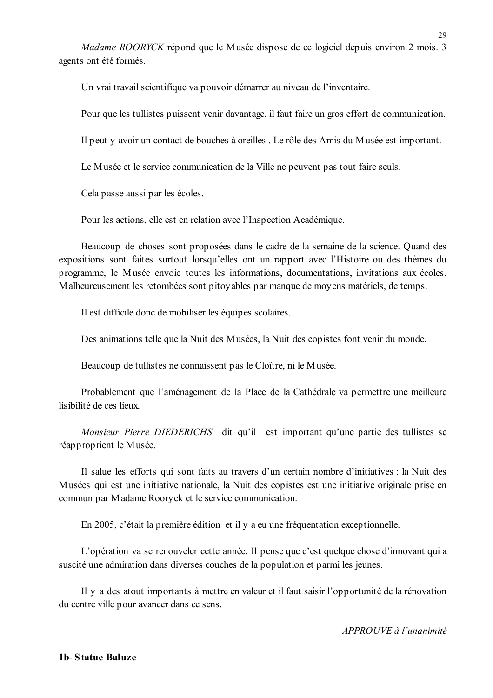*Madame ROORYCK* répond que le Musée dispose de ce logiciel depuis environ 2 mois. 3 agents ont été formés.

Un vrai travail scientifique va pouvoir démarrer au niveau de l'inventaire.

Pour que les tullistes puissent venir davantage, il faut faire un gros effort de communication.

Il peut y avoir un contact de bouches à oreilles. Le rôle des Amis du Musée est important.

Le Musée et le service communication de la Ville ne peuvent pas tout faire seuls.

Cela passe aussi par les écoles.

Pour les actions, elle est en relation avec l'Inspection Académique.

Beaucoup de choses sont proposées dans le cadre de la semaine de la science. Quand des expositions sont faites surtout lorsqu'elles ont un rapport avec l'Histoire ou des thèmes du programme, le Musée envoie toutes les informations, documentations, invitations aux écoles. Malheureusement les retombées sont pitovables par manque de movens matériels, de temps.

Il est difficile donc de mobiliser les équipes scolaires.

Des animations telle que la Nuit des Musées, la Nuit des copistes font venir du monde.

Beaucoup de tullistes ne connaissent pas le Cloître, ni le Musée.

Probablement que l'aménagement de la Place de la Cathédrale va permettre une meilleure lisibilité de ces lieux

Monsieur Pierre DIEDERICHS dit qu'il est important qu'une partie des tullistes se réapproprient le Musée.

Il salue les efforts qui sont faits au travers d'un certain nombre d'initiatives : la Nuit des Musées qui est une initiative nationale, la Nuit des copistes est une initiative originale prise en commun par Madame Rooryck et le service communication.

En 2005, c'était la première édition et il y a eu une fréquentation exceptionnelle.

L'opération va se renouveler cette année. Il pense que c'est quelque chose d'innovant qui a suscité une admiration dans diverses couches de la population et parmi les jeunes.

Il y a des atout importants à mettre en valeur et il faut saisir l'opportunité de la rénovation du centre ville pour avancer dans ce sens.

APPROUVE à l'unanimité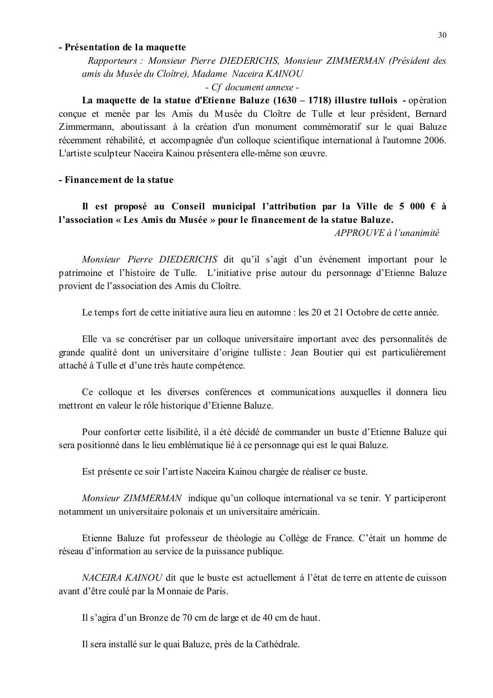#### - Présentation de la maquette

Rapporteurs : Monsieur Pierre DIEDERICHS, Monsieur ZIMMERMAN (Président des amis du Musée du Cloître), Madame Naceira KAINOU

#### - Cf document annexe -

La maquette de la statue d'Etienne Baluze (1630 – 1718) illustre tullois - opération concue et menée par les Amis du Musée du Cloître de Tulle et leur président, Bernard Zimmermann, aboutissant à la création d'un monument commémoratif sur le quai Baluze récemment réhabilité, et accompagnée d'un colloque scientifique international à l'automne 2006. L'artiste sculpteur Naceira Kainou présentera elle-même son œuvre.

### - Financement de la statue

# Il est proposé au Conseil municipal l'attribution par la Ville de 5 000  $\epsilon$  à l'association « Les Amis du Musée » pour le financement de la statue Baluze.

 $APPROIIVE$  à l'unanimité

Monsieur Pierre DIEDERICHS dit qu'il s'agit d'un événement important pour le patrimoine et l'histoire de Tulle. L'initiative prise autour du personnage d'Etienne Baluze provient de l'association des Amis du Cloître.

Le temps fort de cette initiative aura lieu en automne : les 20 et 21 Octobre de cette année.

Elle va se concrétiser par un colloque universitaire important avec des personnalités de grande qualité dont un universitaire d'origine tulliste : Jean Boutier qui est particulièrement attaché à Tulle et d'une très haute compétence.

Ce colloque et les diverses conférences et communications auxquelles il donnera lieu mettront en valeur le rôle historique d'Etienne Baluze.

Pour conforter cette lisibilité, il a été décidé de commander un buste d'Etienne Baluze qui sera positionné dans le lieu emblématique lié à ce personnage qui est le quai Baluze.

Est présente ce soir l'artiste Naceira Kainou chargée de réaliser ce buste.

*Monsieur ZIMMERMAN* indique qu'un colloque international va se tenir. Y participeront notamment un universitaire polonais et un universitaire américain.

Etienne Baluze fut professeur de théologie au Collège de France. C'était un homme de réseau d'information au service de la puissance publique.

NACEIRA KAINOU dit que le buste est actuellement à l'état de terre en attente de cuisson avant d'être coulé par la Monnaie de Paris.

Il s'agira d'un Bronze de 70 cm de large et de 40 cm de haut.

Il sera installé sur le quai Baluze, près de la Cathédrale.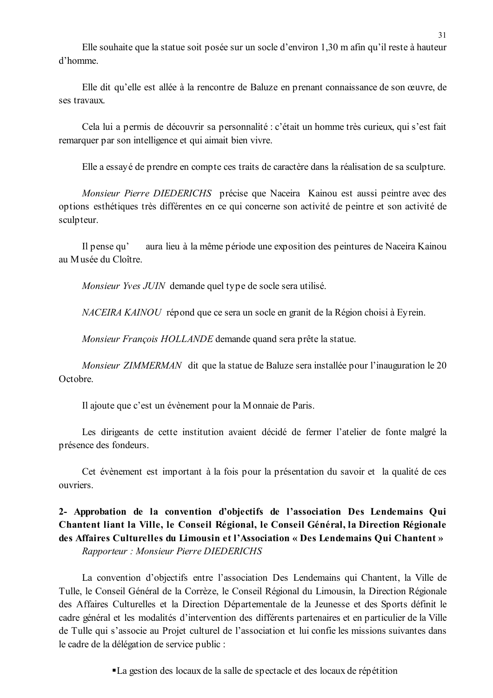Elle souhaite que la statue soit posée sur un socle d'environ 1,30 m afin qu'il reste à hauteur d'homme

Elle dit qu'elle est allée à la rencontre de Baluze en prenant connaissance de son œuvre, de ses travaux

Cela lui a permis de découvrir sa personnalité : c'était un homme très curieux, qui s'est fait remarquer par son intelligence et qui aimait bien vivre.

Elle a essayé de prendre en compte ces traits de caractère dans la réalisation de sa sculpture.

Monsieur Pierre DIEDERICHS précise que Naceira Kainou est aussi peintre avec des options esthétiques très différentes en ce qui concerne son activité de peintre et son activité de sculpteur.

aura lieu à la même période une exposition des peintures de Naceira Kainou Il pense qu' au Musée du Cloître.

Monsieur Yves JUIN demande quel type de socle sera utilisé.

NACEIRA KAINOU répond que ce sera un socle en granit de la Région choisi à Eyrein.

Monsieur François HOLLANDE demande quand sera prête la statue.

*Monsieur ZIMMERMAN* dit que la statue de Baluze sera installée pour l'inauguration le 20 Octobre

Il ajoute que c'est un évènement pour la Monnaie de Paris.

Les dirigeants de cette institution avaient décidé de fermer l'atelier de fonte malgré la présence des fondeurs.

Cet évènement est important à la fois pour la présentation du savoir et la qualité de ces ouvriers.

# 2- Approbation de la convention d'objectifs de l'association Des Lendemains Qui Chantent liant la Ville, le Conseil Régional, le Conseil Général, la Direction Régionale des Affaires Culturelles du Limousin et l'Association « Des Lendemains Qui Chantent » Rapporteur: Monsieur Pierre DIEDERICHS

La convention d'objectifs entre l'association Des Lendemains qui Chantent, la Ville de Tulle, le Conseil Général de la Corrèze, le Conseil Régional du Limousin, la Direction Régionale des Affaires Culturelles et la Direction Départementale de la Jeunesse et des Sports définit le cadre général et les modalités d'intervention des différents partenaires et en particulier de la Ville de Tulle qui s'associe au Projet culturel de l'association et lui confie les missions suivantes dans le cadre de la délégation de service public :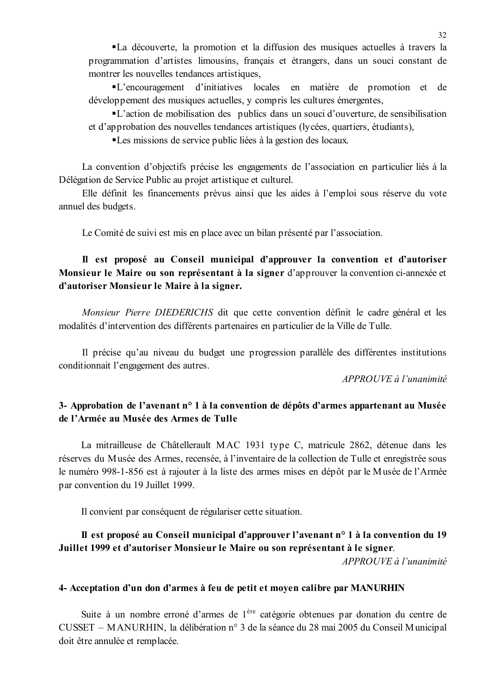•La découverte, la promotion et la diffusion des musiques actuelles à travers la programmation d'artistes limousins, français et étrangers, dans un souci constant de montrer les nouvelles tendances artistiques.

"L'encouragement d'initiatives locales en matière de promotion et de développement des musiques actuelles, y compris les cultures émergentes,

• L'action de mobilisation des publics dans un souci d'ouverture, de sensibilisation et d'approbation des nouvelles tendances artistiques (lycées, quartiers, étudiants),

•Les missions de service public liées à la gestion des locaux.

La convention d'objectifs précise les engagements de l'association en particulier liés à la Délégation de Service Public au projet artistique et culturel.

Elle définit les financements prévus ainsi que les aides à l'emploi sous réserve du vote annuel des budgets.

Le Comité de suivi est mis en place avec un bilan présenté par l'association.

# Il est proposé au Conseil municipal d'approuver la convention et d'autoriser Monsieur le Maire ou son représentant à la signer d'approuver la convention ci-annexée et d'autoriser Monsieur le Maire à la signer.

Monsieur Pierre DIEDERICHS dit que cette convention définit le cadre général et les modalités d'intervention des différents partenaires en particulier de la Ville de Tulle.

Il précise qu'au niveau du budget une progression parallèle des différentes institutions conditionnait l'engagement des autres.

APPROUVE à l'unanimité

# 3- Approbation de l'avenant n° 1 à la convention de dépôts d'armes appartenant au Musée de l'Armée au Musée des Armes de Tulle

La mitrailleuse de Châtellerault MAC 1931 type C, matricule 2862, détenue dans les réserves du Musée des Armes, recensée, à l'inventaire de la collection de Tulle et enregistrée sous le numéro 998-1-856 est à rajouter à la liste des armes mises en dépôt par le Musée de l'Armée par convention du 19 Juillet 1999.

Il convient par conséquent de régulariser cette situation.

# Il est proposé au Conseil municipal d'approuver l'avenant n° 1 à la convention du 19 Juillet 1999 et d'autoriser Monsieur le Maire ou son représentant à le signer.

 $APPROUVE$ à l'unanimité

# 4- Acceptation d'un don d'armes à feu de petit et moyen calibre par MANURHIN

Suite à un nombre erroné d'armes de 1<sup>ère</sup> catégorie obtenues par donation du centre de CUSSET – MANURHIN, la délibération n° 3 de la séance du 28 mai 2005 du Conseil Municipal doit être annulée et remplacée.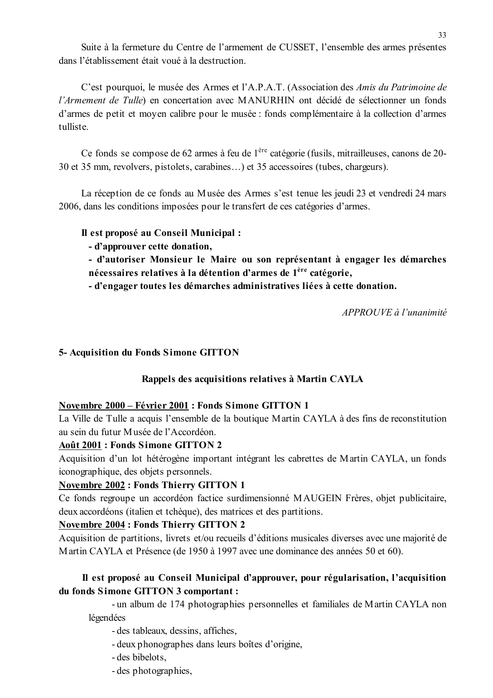Suite à la fermeture du Centre de l'armement de CUSSET, l'ensemble des armes présentes dans l'établissement était voué à la destruction

C'est pourquoi, le musée des Armes et l'A.P.A.T. (Association des Amis du Patrimoine de l'Armement de Tulle) en concertation avec MANURHIN ont décidé de sélectionner un fonds d'armes de petit et moyen calibre pour le musée : fonds complémentaire à la collection d'armes tulliste

Ce fonds se compose de 62 armes à feu de 1<sup>ère</sup> catégorie (fusils, mitrailleuses, canons de 20-30 et 35 mm, revolvers, pistolets, carabines...) et 35 accessoires (tubes, chargeurs).

La réception de ce fonds au Musée des Armes s'est tenue les jeudi 23 et vendredi 24 mars 2006, dans les conditions imposées pour le transfert de ces catégories d'armes.

# Il est proposé au Conseil Municipal :

- d'approuver cette donation,

- d'autoriser Monsieur le Maire ou son représentant à engager les démarches nécessaires relatives à la détention d'armes de 1<sup>ère</sup> catégorie,

- d'engager toutes les démarches administratives liées à cette donation.

APPROUVE à l'unanimité

# 5- Acquisition du Fonds Simone GITTON

# Rappels des acquisitions relatives à Martin CAYLA

### Novembre 2000 - Février 2001 : Fonds Simone GITTON 1

La Ville de Tulle a acquis l'ensemble de la boutique Martin CAYLA à des fins de reconstitution au sein du futur Musée de l'Accordéon.

### **Août 2001 : Fonds Simone GITTON 2**

Acquisition d'un lot hétérogène important intégrant les cabrettes de Martin CAYLA, un fonds iconographique, des objets personnels.

# **Novembre 2002 : Fonds Thierry GITTON 1**

Ce fonds regroupe un accordéon factice surdimensionné MAUGEIN Frères, objet publicitaire, deux accordéons (italien et tchèque), des matrices et des partitions.

### **Novembre 2004 : Fonds Thierry GITTON 2**

Acquisition de partitions, livrets et/ou recueils d'éditions musicales diverses avec une majorité de Martin CAYLA et Présence (de 1950 à 1997 avec une dominance des années 50 et 60).

# Il est proposé au Conseil Municipal d'approuver, pour régularisation, l'acquisition du fonds Simone GITTON 3 comportant :

- un album de 174 photographies personnelles et familiales de Martin CAYLA non légendées

- des tableaux, dessins, affiches,

- deux phonographes dans leurs boîtes d'origine,
- des bibelots,
- des photographies.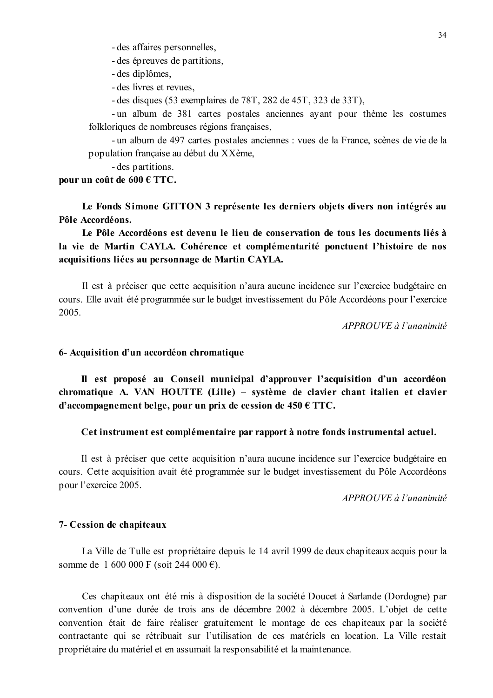- des affaires personnelles,

- des épreuves de partitions,
- des diplômes.
- des livres et revues.
- des disques  $(53$  exemplaires de 78T, 282 de 45T, 323 de 33T),

- un album de 381 cartes postales anciennes avant pour thème les costumes folkloriques de nombreuses régions françaises,

- un album de 497 cartes postales anciennes : vues de la France, scènes de vie de la population française au début du XXème,

- des partitions.

#### pour un coût de 600 € TTC.

Le Fonds Simone GITTON 3 représente les derniers objets divers non intégrés au Pôle Accordéons.

Le Pôle Accordéons est devenu le lieu de conservation de tous les documents liés à la vie de Martin CAYLA. Cohérence et complémentarité ponctuent l'histoire de nos acquisitions liées au personnage de Martin CAYLA.

Il est à préciser que cette acquisition n'aura aucune incidence sur l'exercice budgétaire en cours. Elle avait été programmée sur le budget investissement du Pôle Accordéons pour l'exercice 2005.

APPROUVE à l'unanimité

#### 6- Acquisition d'un accordéon chromatique

Il est proposé au Conseil municipal d'approuver l'acquisition d'un accordéon chromatique A. VAN HOUTTE (Lille) – système de clavier chant italien et clavier d'accompagnement belge, pour un prix de cession de  $450 \text{ }\in \text{TTC}$ .

#### Cet instrument est complémentaire par rapport à notre fonds instrumental actuel.

Il est à préciser que cette acquisition n'aura aucune incidence sur l'exercice budgétaire en cours. Cette acquisition avait été programmée sur le budget investissement du Pôle Accordéons pour l'exercice 2005.

 $APPROIIVE$  à l'unanimité

#### 7- Cession de chapiteaux

La Ville de Tulle est propriétaire depuis le 14 avril 1999 de deux chapiteaux acquis pour la somme de 1 600 000 F (soit 244 000 €).

Ces chapiteaux ont été mis à disposition de la société Doucet à Sarlande (Dordogne) par convention d'une durée de trois ans de décembre 2002 à décembre 2005. L'objet de cette convention était de faire réaliser gratuitement le montage de ces chapiteaux par la société contractante qui se rétribuait sur l'utilisation de ces matériels en location. La Ville restait propriétaire du matériel et en assumait la responsabilité et la maintenance.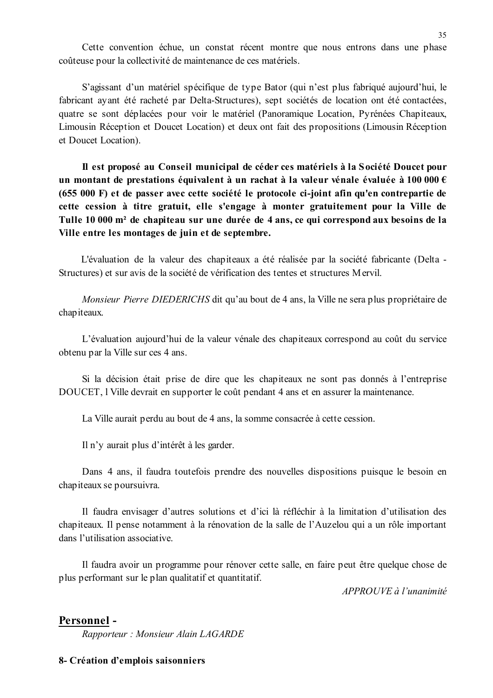Cette convention échue, un constat récent montre que nous entrons dans une phase coûteuse pour la collectivité de maintenance de ces matériels.

S'agissant d'un matériel spécifique de type Bator (qui n'est plus fabriqué aujourd'hui, le fabricant ayant été racheté par Delta-Structures), sept sociétés de location ont été contactées, quatre se sont déplacées pour voir le matériel (Panoramique Location, Pyrénées Chapiteaux, Limousin Réception et Doucet Location) et deux ont fait des propositions (Limousin Réception et Doucet Location).

Il est proposé au Conseil municipal de céder ces matériels à la Société Doucet pour un montant de prestations équivalent à un rachat à la valeur vénale évaluée à 100 000  $\epsilon$ (655 000 F) et de passer avec cette société le protocole ci-joint afin qu'en contrepartie de cette cession à titre gratuit, elle s'engage à monter gratuitement pour la Ville de Tulle 10 000 m<sup>2</sup> de chapiteau sur une durée de 4 ans, ce qui correspond aux besoins de la Ville entre les montages de juin et de septembre.

L'évaluation de la valeur des chapiteaux a été réalisée par la société fabricante (Delta -Structures) et sur avis de la société de vérification des tentes et structures Mervil.

Monsieur Pierre DIEDERICHS dit qu'au bout de 4 ans, la Ville ne sera plus propriétaire de chap iteaux.

L'évaluation aujourd'hui de la valeur vénale des chapiteaux correspond au coût du service obtenu par la Ville sur ces 4 ans.

Si la décision était prise de dire que les chapiteaux ne sont pas donnés à l'entreprise DOUCET, l'Ville devrait en supporter le coût pendant 4 ans et en assurer la maintenance.

La Ville aurait perdu au bout de 4 ans, la somme consacrée à cette cession.

Il n'y aurait plus d'intérêt à les garder.

Dans 4 ans, il faudra toutefois prendre des nouvelles dispositions puisque le besoin en chapiteaux se poursuivra.

Il faudra envisager d'autres solutions et d'ici là réfléchir à la limitation d'utilisation des chapiteaux. Il pense notamment à la rénovation de la salle de l'Auzelou qui a un rôle important dans l'utilisation associative

Il faudra avoir un programme pour rénover cette salle, en faire peut être quelque chose de plus performant sur le plan qualitatif et quantitatif.

 $APPROUVE \d{d} l'unanimit$ 

### Personnel -

Rapporteur : Monsieur Alain LAGARDE

#### 8- Création d'emplois saisonniers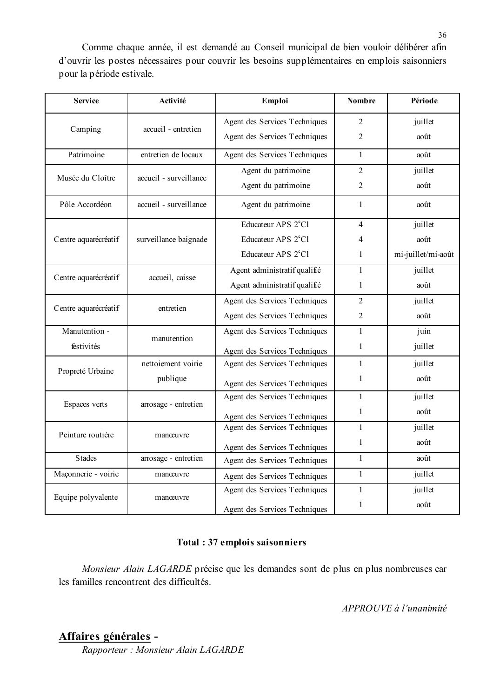Comme chaque année, il est demandé au Conseil municipal de bien vouloir délibérer afin d'ouvrir les postes nécessaires pour couvrir les besoins supplémentaires en emplois saisonniers pour la période estivale.

| <b>Service</b>       | Activité               | Emploi                          | <b>Nombre</b>  | Période            |
|----------------------|------------------------|---------------------------------|----------------|--------------------|
|                      |                        | Agent des Services Techniques   | $\overline{2}$ | juillet            |
| Camping              | accueil - entretien    | Agent des Services Techniques   | $\overline{2}$ | août               |
| Patrimoine           | entretien de locaux    | Agent des Services Techniques   | $\mathbf{1}$   | août               |
| Musée du Cloître     | accueil - surveillance | Agent du patrimoine             | $\overline{2}$ | juillet            |
|                      |                        | Agent du patrimoine             | $\overline{2}$ | août               |
| Pôle Accordéon       | accueil - surveillance | Agent du patrimoine             | 1              | août               |
|                      |                        | Educateur APS 2 <sup>e</sup> Cl | $\overline{4}$ | juillet            |
| Centre aquarécréatif | surveillance baignade  | Educateur APS 2 <sup>e</sup> Cl | 4              | août               |
|                      |                        | Educateur APS 2 <sup>e</sup> Cl | $\mathbf{1}$   | mi-juillet/mi-août |
|                      | accueil, caisse        | Agent administratif qualifié    | $\mathbf{1}$   | juillet            |
| Centre aquarécréatif |                        | Agent administratif qualifié    | 1              | août               |
| Centre aquarécréatif | entretien              | Agent des Services Techniques   | $\overline{2}$ | juillet            |
|                      |                        | Agent des Services Techniques   | $\overline{2}$ | août               |
| Manutention -        | manutention            | Agent des Services Techniques   | $\mathbf{1}$   | juin               |
| festivités           |                        | Agent des Services Techniques   | $\mathbf{1}$   | juillet            |
| Propreté Urbaine     | nettoiement voirie     | Agent des Services Techniques   | $\mathbf{1}$   | juillet            |
|                      | publique               | Agent des Services Techniques   | 1              | août               |
| Espaces verts        | arrosage - entretien   | Agent des Services Techniques   | $\mathbf{1}$   | juillet            |
|                      |                        | Agent des Services Techniques   | $\mathbf{1}$   | août               |
| Peinture routière    | manœuvre               | Agent des Services Techniques   | $\mathbf{1}$   | juillet            |
|                      |                        | Agent des Services Techniques   | $\mathbf{1}$   | août               |
| <b>Stades</b>        | arrosage - entretien   | Agent des Services Techniques   | $\mathbf{1}$   | août               |
| Maçonnerie - voirie  | manœuvre               | Agent des Services Techniques   | $\mathbf{1}$   | juillet            |
| Equipe polyvalente   | manœuvre               | Agent des Services Techniques   | $\mathbf{1}$   | juillet            |
|                      |                        | Agent des Services Techniques   | $\mathbf{1}$   | août               |

### **Total: 37 emplois saisonniers**

Monsieur Alain LAGARDE précise que les demandes sont de plus en plus nombreuses car les familles rencontrent des difficultés.

APPROUVE à l'unanimité

# Affaires générales -

Rapporteur : Monsieur Alain LAGARDE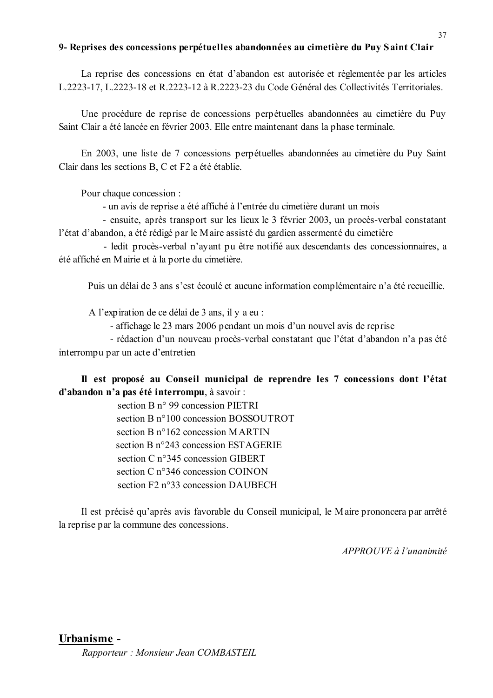#### 9- Reprises des concessions perpétuelles abandonnées au cimetière du Puy Saint Clair

La reprise des concessions en état d'abandon est autorisée et règlementée par les articles L.2223-17, L.2223-18 et R.2223-12 à R.2223-23 du Code Général des Collectivités Territoriales.

Une procédure de reprise de concessions perpétuelles abandonnées au cimetière du Puy Saint Clair a été lancée en février 2003. Elle entre maintenant dans la phase terminale.

En 2003, une liste de 7 concessions perpétuelles abandonnées au cimetière du Puy Saint Clair dans les sections B, C et F2 a été établie.

Pour chaque concession :

- un avis de reprise a été affiché à l'entrée du cimetière durant un mois

- ensuite, après transport sur les lieux le 3 février 2003, un procès-verbal constatant l'état d'abandon, a été rédigé par le Maire assisté du gardien assermenté du cimetière

- ledit procès-verbal n'ayant pu être notifié aux descendants des concessionnaires, a été affiché en Mairie et à la porte du cimetière.

Puis un délai de 3 ans s'est écoulé et aucune information complémentaire n'a été recueillie.

A l'expiration de ce délai de 3 ans, il y a eu :

- affichage le 23 mars 2006 pendant un mois d'un nouvel avis de reprise

- rédaction d'un nouveau procès-verbal constatant que l'état d'abandon n'a pas été interrompu par un acte d'entretien

Il est proposé au Conseil municipal de reprendre les 7 concessions dont l'état d'abandon n'a pas été interrompu, à savoir :

> section B n° 99 concession PIETRI section B n°100 concession BOSSOUTROT section  $B$  n°162 concession MARTIN section B n°243 concession ESTAGERIE section C n°345 concession GIBERT section C n°346 concession COINON section F2 n°33 concession DAUBECH

Il est précisé qu'après avis favorable du Conseil municipal, le Maire prononcera par arrêté la reprise par la commune des concessions.

APPROUVE à l'unanimité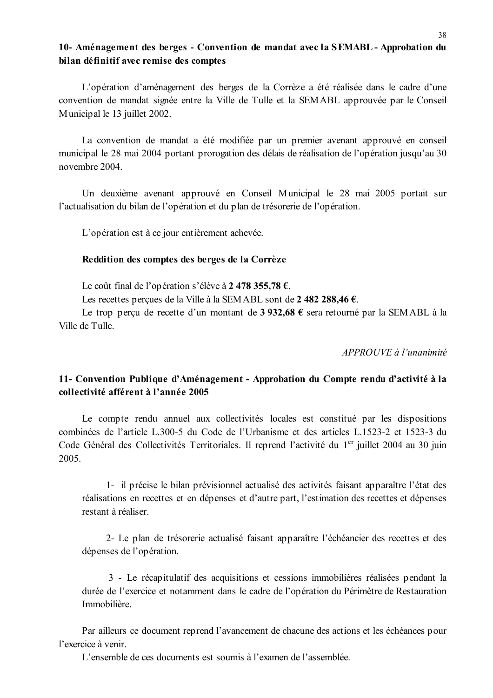# 10- Aménagement des berges - Convention de mandat avec la SEMABL - Approbation du bilan définitif avec remise des comptes

L'opération d'aménagement des berges de la Corrèze a été réalisée dans le cadre d'une convention de mandat signée entre la Ville de Tulle et la SEMABL approuvée par le Conseil Municipal le 13 juillet 2002.

La convention de mandat a été modifiée par un premier avenant approuvé en conseil municipal le 28 mai 2004 portant prorogation des délais de réalisation de l'opération jusqu'au 30 novembre 2004

Un deuxième avenant approuvé en Conseil Municipal le 28 mai 2005 portait sur l'actualisation du bilan de l'opération et du plan de trésorerie de l'opération.

L'opération est à ce jour entièrement achevée.

#### Reddition des comptes des berges de la Corrèze

Le coût final de l'opération s'élève à 2 478 355.78  $\epsilon$ .

Les recettes percues de la Ville à la SEM ABL sont de 2 482 288,46  $\epsilon$ .

Le trop perçu de recette d'un montant de 3 932,68 € sera retourné par la SEMABL à la Ville de Tulle

 $APPROIIVE \d{d} l'unanimit \d{e}$ 

# 11- Convention Publique d'Aménagement - Approbation du Compte rendu d'activité à la collectivité afférent à l'année 2005

Le compte rendu annuel aux collectivités locales est constitué par les dispositions combinées de l'article L.300-5 du Code de l'Urbanisme et des articles L.1523-2 et 1523-3 du Code Général des Collectivités Territoriales. Il reprend l'activité du 1<sup>er</sup> juillet 2004 au 30 juin 2005.

1- il précise le bilan prévisionnel actualisé des activités faisant apparaître l'état des réalisations en recettes et en dépenses et d'autre part, l'estimation des recettes et dépenses restant à réaliser.

2- Le plan de trésorerie actualisé faisant apparaître l'échéancier des recettes et des dépenses de l'opération.

3 - Le récapitulatif des acquisitions et cessions immobilières réalisées pendant la durée de l'exercice et notamment dans le cadre de l'opération du Périmètre de Restauration Immobilière

Par ailleurs ce document reprend l'avancement de chacune des actions et les échéances pour l'exercice à venir

L'ensemble de ces documents est soumis à l'examen de l'assemblée.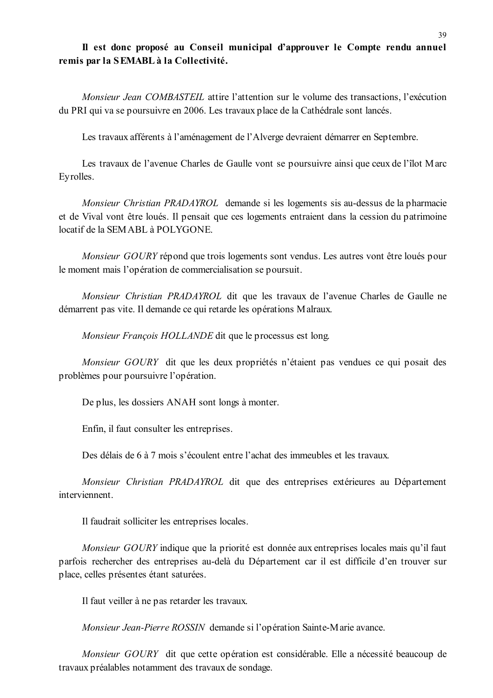# Il est donc proposé au Conseil municipal d'approuver le Compte rendu annuel remis par la SEMABL à la Collectivité.

Monsieur Jean COMBASTEIL attire l'attention sur le volume des transactions. l'exécution du PRI qui va se poursuivre en 2006. Les travaux place de la Cathédrale sont lancés.

Les travaux afférents à l'aménagement de l'Alverge devraient démarrer en Septembre.

Les travaux de l'avenue Charles de Gaulle vont se poursuivre ainsi que ceux de l'îlot Marc Eyrolles.

Monsieur Christian PRADAYROL demande si les logements sis au-dessus de la pharmacie et de Vival vont être loués. Il pensait que ces logements entraient dans la cession du patrimoine locatif de la SEMABL à POLYGONE.

*Monsieur GOURY* répond que trois logements sont vendus. Les autres vont être loués pour le moment mais l'opération de commercialisation se poursuit.

Monsieur Christian PRADAYROL dit que les travaux de l'avenue Charles de Gaulle ne démarrent pas vite. Il demande ce qui retarde les opérations Malraux.

Monsieur François HOLLANDE dit que le processus est long.

Monsieur GOURY dit que les deux propriétés n'étaient pas vendues ce qui posait des problèmes pour poursuivre l'opération.

De plus, les dossiers ANAH sont longs à monter.

Enfin, il faut consulter les entreprises.

Des délais de 6 à 7 mois s'écoulent entre l'achat des immeubles et les travaux.

Monsieur Christian PRADAYROL dit que des entreprises extérieures au Département interviennent.

Il faudrait solliciter les entreprises locales.

Monsieur GOURY indique que la priorité est donnée aux entreprises locales mais qu'il faut parfois rechercher des entreprises au-delà du Département car il est difficile d'en trouver sur place, celles présentes étant saturées.

Il faut veiller à ne pas retarder les travaux.

Monsieur Jean-Pierre ROSSIN demande si l'opération Sainte-Marie avance.

Monsieur GOURY dit que cette opération est considérable. Elle a nécessité beaucoup de travaux préalables notamment des travaux de sondage.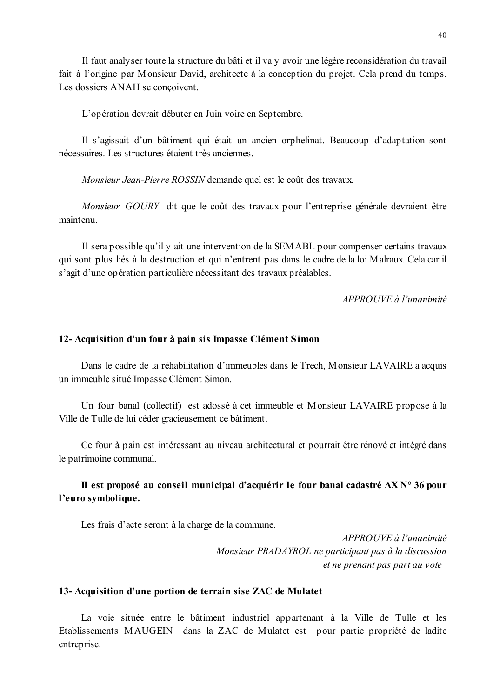Il faut analyser toute la structure du bâti et il va y avoir une légère reconsidération du travail fait à l'origine par Monsieur David, architecte à la conception du projet. Cela prend du temps. Les dossiers ANAH se concoivent.

L'opération devrait débuter en Juin voire en Septembre.

Il s'agissait d'un bâtiment qui était un ancien orphelinat. Beaucoup d'adaptation sont nécessaires. Les structures étaient très anciennes

Monsieur Jean-Pierre ROSSIN demande quel est le coût des travaux.

Monsieur GOURY dit que le coût des travaux pour l'entreprise générale devraient être maintenu

Il sera possible qu'il y ait une intervention de la SEMABL pour compenser certains travaux qui sont plus liés à la destruction et qui n'entrent pas dans le cadre de la loi Malraux. Cela car il s'agit d'une opération particulière nécessitant des travaux préalables.

APPROUVE à l'unanimité

#### 12- Acquisition d'un four à pain sis Impasse Clément Simon

Dans le cadre de la réhabilitation d'immeubles dans le Trech, Monsieur LAVAIRE a acquis un immeuble situé Impasse Clément Simon.

Un four banal (collectif) est adossé à cet immeuble et Monsieur LAVAIRE propose à la Ville de Tulle de lui céder gracieusement ce bâtiment.

Ce four à pain est intéressant au niveau architectural et pourrait être rénové et intégré dans le patrimoine communal.

# Il est proposé au conseil municipal d'acquérir le four banal cadastré  $AX N^{\circ} 36$  pour l'euro symbolique.

Les frais d'acte seront à la charge de la commune.

 $APPROIIVE$  à l'unanimité Monsieur PRADAYROL ne participant pas à la discussion et ne prenant pas part au vote

#### 13- Acquisition d'une portion de terrain sise ZAC de Mulatet

La voie située entre le bâtiment industriel appartenant à la Ville de Tulle et les Etablissements MAUGEIN dans la ZAC de Mulatet est pour partie propriété de ladite entreprise.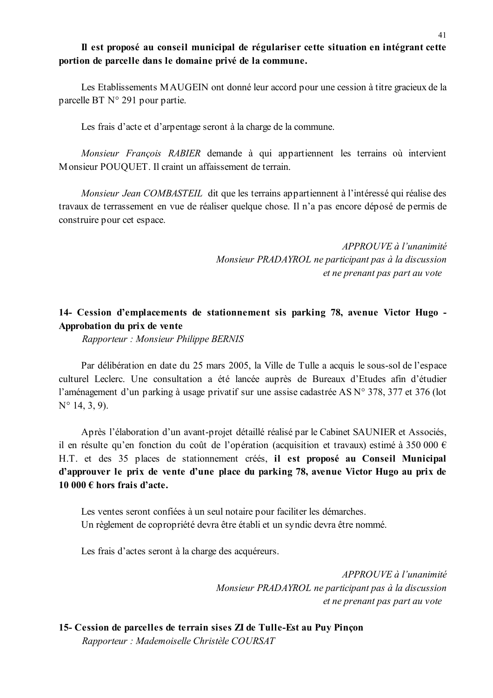### Il est proposé au conseil municipal de régulariser cette situation en intégrant cette portion de parcelle dans le domaine privé de la commune.

Les Etablissements MAUGEIN ont donné leur accord pour une cession à titre gracieux de la parcelle BT N° 291 pour partie.

Les frais d'acte et d'arpentage seront à la charge de la commune.

Monsieur François RABIER demande à qui appartiennent les terrains où intervient Monsieur POUQUET. Il craint un affaissement de terrain.

*Monsieur Jean COMBASTEIL* dit que les terrains appartiennent à l'intéressé qui réalise des travaux de terrassement en vue de réaliser quelque chose. Il n'a pas encore déposé de permis de construire pour cet espace.

> APPROUVE à l'unanimité Monsieur PRADAYROL ne participant pas à la discussion et ne prenant pas part au vote

# 14- Cession d'emplacements de stationnement sis parking 78, avenue Victor Hugo -Approbation du prix de vente

Rapporteur: Monsieur Philippe BERNIS

Par délibération en date du 25 mars 2005, la Ville de Tulle a acquis le sous-sol de l'espace culturel Leclerc. Une consultation a été lancée auprès de Bureaux d'Etudes afin d'étudier l'aménagement d'un parking à usage privatif sur une assise cadastrée AS N° 378, 377 et 376 (lot  $N^{\circ}$  14, 3, 9).

Après l'élaboration d'un avant-projet détaillé réalisé par le Cabinet SAUNIER et Associés, il en résulte qu'en fonction du coût de l'opération (acquisition et travaux) estimé à 350 000  $\epsilon$ H.T. et des 35 places de stationnement créés, il est proposé au Conseil Municipal d'approuver le prix de vente d'une place du parking 78, avenue Victor Hugo au prix de 10 000 € hors frais d'acte.

Les ventes seront confiées à un seul notaire pour faciliter les démarches. Un règlement de copropriété devra être établi et un syndic devra être nommé.

Les frais d'actes seront à la charge des acquéreurs.

APPROUVE à l'unanimité Monsieur PRADAYROL ne participant pas à la discussion et ne prenant pas part au vote

15- Cession de parcelles de terrain sises ZI de Tulle-Est au Puy Pinçon Rapporteur : Mademoiselle Christèle COURSAT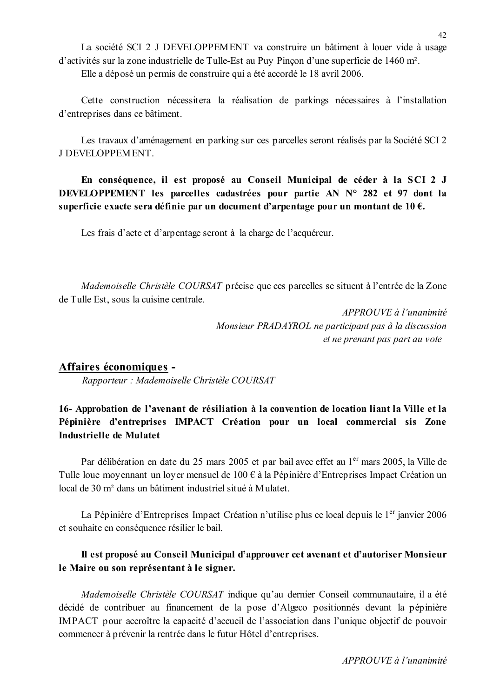La société SCI 2 J DEVELOPPEMENT va construire un bâtiment à louer vide à usage d'activités sur la zone industrielle de Tulle-Est au Puy Pinçon d'une superficie de 1460 m<sup>2</sup>. Elle a déposé un permis de construire qui a été accordé le 18 avril 2006.

Cette construction nécessitera la réalisation de parkings nécessaires à l'installation d'entreprises dans ce bâtiment.

Les travaux d'aménagement en parking sur ces parcelles seront réalisés par la Société SCI 2 J DEVELOPPEMENT.

En conséquence, il est proposé au Conseil Municipal de céder à la SCI 2 J DEVELOPPEMENT les parcelles cadastrées pour partie AN N° 282 et 97 dont la superficie exacte sera définie par un document d'arpentage pour un montant de 10  $\epsilon$ .

Les frais d'acte et d'arpentage seront à la charge de l'acquéreur.

*Mademoiselle Christèle COURSAT* précise que ces parcelles se situent à l'entrée de la Zone de Tulle Est, sous la cuisine centrale.

> APPROUVE à l'unanimité Monsieur PRADAYROL ne participant pas à la discussion et ne prenant pas part au vote

### Affaires économiques -

Rapporteur : Mademoiselle Christèle COURSAT

# 16- Approbation de l'avenant de résiliation à la convention de location liant la Ville et la Pépinière d'entreprises IMPACT Création pour un local commercial sis Zone Industrielle de Mulatet

Par délibération en date du 25 mars 2005 et par bail avec effet au 1<sup>er</sup> mars 2005, la Ville de Tulle loue moyennant un loyer mensuel de  $100 \in \hat{a}$  la Pépinière d'Entreprises Impact Création un local de 30 m<sup>2</sup> dans un bâtiment industriel situé à Mulatet.

La Pépinière d'Entreprises Impact Création n'utilise plus ce local depuis le 1<sup>er</sup> janvier 2006 et souhaite en conséquence résilier le bail.

# Il est proposé au Conseil Municipal d'approuver cet avenant et d'autoriser Monsieur le Maire ou son représentant à le signer.

Mademoiselle Christèle COURSAT indique qu'au dernier Conseil communautaire, il a été décidé de contribuer au financement de la pose d'Algeco positionnés devant la pépinière IMPACT pour accroître la capacité d'accueil de l'association dans l'unique objectif de pouvoir commencer à prévenir la rentrée dans le futur Hôtel d'entreprises.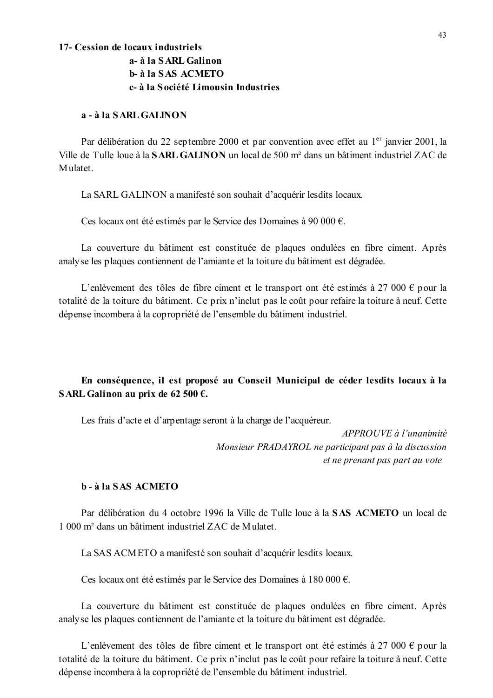#### 17- Cession de locaux industriels

# a- à la SARL Galinon **b**- à la SAS ACMETO c- à la Société Limousin Industries

### a - à la SARL GALINON

Par délibération du 22 septembre 2000 et par convention avec effet au 1<sup>er</sup> janvier 2001, la Ville de Tulle loue à la **SARL GALINON** un local de 500 m<sup>2</sup> dans un bâtiment industriel ZAC de Mulatet

La SARL GALINON a manifesté son souhait d'acquérir lesdits locaux.

Ces locaux ont été estimés par le Service des Domaines à 90 000  $\epsilon$ .

La couverture du bâtiment est constituée de plaques ondulées en fibre ciment. Après analyse les plaques contiennent de l'amiante et la toiture du bâtiment est dégradée.

L'enlèvement des tôles de fibre ciment et le transport ont été estimés à 27 000 € pour la totalité de la toiture du bâtiment. Ce prix n'inclut pas le coût pour refaire la toiture à neuf. Cette dépense incombera à la copropriété de l'ensemble du bâtiment industriel.

# En conséquence, il est proposé au Conseil Municipal de céder lesdits locaux à la SARL Galinon au prix de 62 500  $\epsilon$ .

Les frais d'acte et d'arpentage seront à la charge de l'acquéreur.

 $APPROUVE \d{d} l'unanimit\acute{e}$ Monsieur PRADAYROL ne participant pas à la discussion et ne prenant pas part au vote

### $h - \lambda$  la SAS ACMETO

Par délibération du 4 octobre 1996 la Ville de Tulle loue à la SAS ACMETO un local de 1 000 m<sup>2</sup> dans un bâtiment industriel ZAC de Mulatet

La SAS ACMETO a manifesté son souhait d'acquérir lesdits locaux.

Ces locaux ont été estimés par le Service des Domaines à 180 000  $\epsilon$ .

La couverture du bâtiment est constituée de plaques ondulées en fibre ciment. Après analyse les plaques contiennent de l'amiante et la toiture du bâtiment est dégradée.

L'enlèvement des tôles de fibre ciment et le transport ont été estimés à 27 000 € pour la totalité de la toiture du bâtiment. Ce prix n'inclut pas le coût pour refaire la toiture à neuf. Cette dépense incombera à la copropriété de l'ensemble du bâtiment industriel.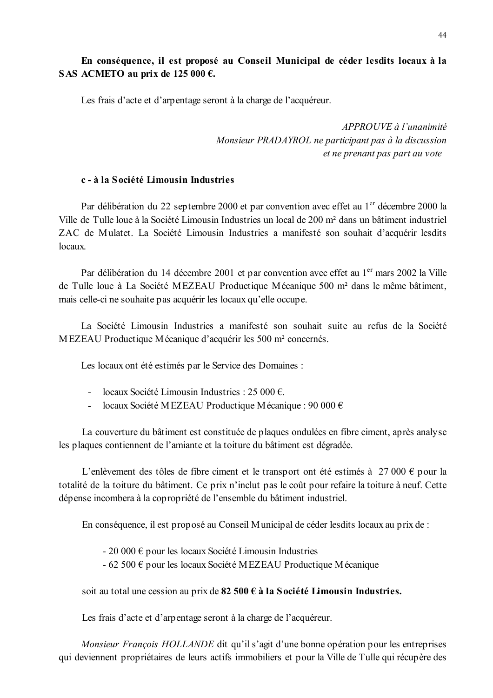# En conséquence, il est proposé au Conseil Municipal de céder les dits locaux à la SAS ACMETO au prix de 125 000  $\epsilon$ .

Les frais d'acte et d'arpentage seront à la charge de l'acquéreur.

 $APPROUVE \d0$  l'unanimité Monsieur PRADAYROL ne participant pas à la discussion et ne prenant pas part au vote

### c - à la Société Limousin Industries

Par délibération du 22 septembre 2000 et par convention avec effet au 1<sup>er</sup> décembre 2000 la Ville de Tulle loue à la Société Limousin Industries un local de 200 m<sup>2</sup> dans un bâtiment industriel ZAC de Mulatet. La Société Limousin Industries a manifesté son souhait d'acquérir lesdits  $locaux$ 

Par délibération du 14 décembre 2001 et par convention avec effet au 1<sup>er</sup> mars 2002 la Ville de Tulle loue à La Société MEZEAU Productique Mécanique 500 m<sup>2</sup> dans le même bâtiment. mais celle-ci ne souhaite pas acquérir les locaux qu'elle occupe.

La Société Limousin Industries a manifesté son souhait suite au refus de la Société MEZEAU Productique Mécanique d'acquérir les 500 m<sup>2</sup> concernés.

Les locaux ont été estimés par le Service des Domaines :

- locaux Société Limousin Industries : 25 000  $\epsilon$ .
- $\Delta \sim 10^4$ locaux Société MEZEAU Productique Mécanique : 90 000  $\epsilon$

La couverture du bâtiment est constituée de plaques ondulées en fibre ciment, après analyse les plaques contiennent de l'amiante et la toiture du bâtiment est dégradée.

L'enlèvement des tôles de fibre ciment et le transport ont été estimés à 27 000 € pour la totalité de la toiture du bâtiment. Ce prix n'inclut pas le coût pour refaire la toiture à neuf. Cette dépense incombera à la copropriété de l'ensemble du bâtiment industriel.

En conséquence, il est proposé au Conseil Municipal de céder les dits locaux au prix de :

- 20 000  $\epsilon$  pour les locaux Société Limousin Industries
- 62 500  $\epsilon$  pour les locaux Société MEZEAU Productique Mécanique

soit au total une cession au prix de  $82\,500 \,\epsilon$  à la Société Limousin Industries.

Les frais d'acte et d'arpentage seront à la charge de l'acquéreur.

*Monsieur François HOLLANDE* dit qu'il s'agit d'une bonne opération pour les entreprises qui deviennent propriétaires de leurs actifs immobiliers et pour la Ville de Tulle qui récupère des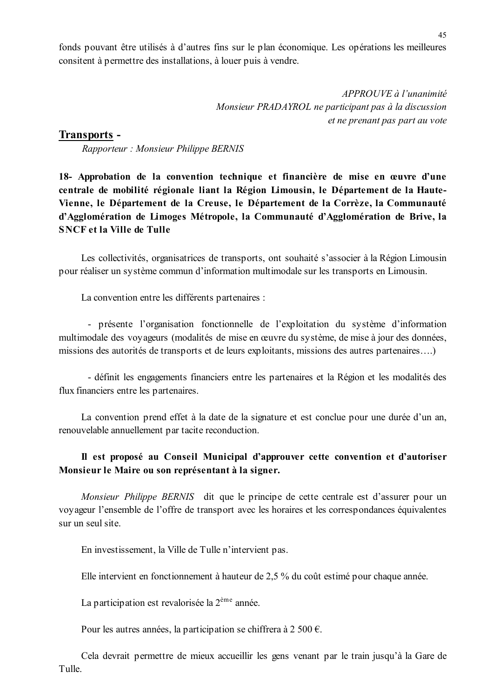fonds pouvant être utilisés à d'autres fins sur le plan économique. Les opérations les meilleures consitent à permettre des installations, à louer puis à vendre.

APPROUVE à l'unanimité Monsieur PRADAYROL ne participant pas à la discussion et ne prenant pas part au vote

### **Transports -**

Rapporteur: Monsieur Philippe BERNIS

18- Approbation de la convention technique et financière de mise en œuvre d'une centrale de mobilité régionale liant la Région Limousin, le Département de la Haute-Vienne, le Département de la Creuse, le Département de la Corrèze, la Communauté d'Agglomération de Limoges Métropole, la Communauté d'Agglomération de Brive, la **SNCF** et la Ville de Tulle

Les collectivités, organisatrices de transports, ont souhaité s'associer à la Région Limousin pour réaliser un système commun d'information multimodale sur les transports en Limousin.

La convention entre les différents partenaires :

- présente l'organisation fonctionnelle de l'exploitation du système d'information multimodale des voyageurs (modalités de mise en œuvre du système, de mise à jour des données, missions des autorités de transports et de leurs exploitants, missions des autres partenaires....)

- définit les engagements financiers entre les partenaires et la Région et les modalités des flux financiers entre les partenaires.

La convention prend effet à la date de la signature et est conclue pour une durée d'un an, renouvelable annuellement par tacite reconduction.

# Il est proposé au Conseil Municipal d'approuver cette convention et d'autoriser Monsieur le Maire ou son représentant à la signer.

Monsieur Philippe BERNIS dit que le principe de cette centrale est d'assurer pour un voyageur l'ensemble de l'offre de transport avec les horaires et les correspondances équivalentes sur un seul site.

En investissement, la Ville de Tulle n'intervient pas.

Elle intervient en fonctionnement à hauteur de 2,5 % du coût estimé pour chaque année.

La participation est revalorisée la 2<sup>ème</sup> année.

Pour les autres années, la participation se chiffrera à 2 500 €.

Cela devrait permettre de mieux accueillir les gens venant par le train jusqu'à la Gare de Tulle.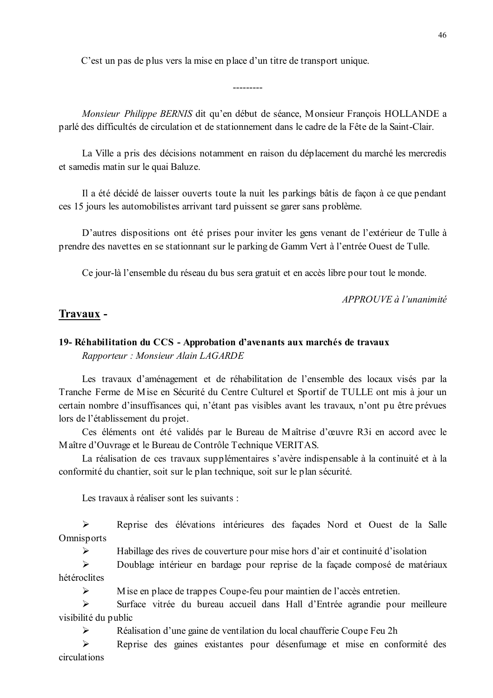C'est un pas de plus vers la mise en place d'un titre de transport unique.

Monsieur Philippe BERNIS dit qu'en début de séance, Monsieur Francois HOLLANDE a parlé des difficultés de circulation et de stationnement dans le cadre de la Fête de la Saint-Clair.

 $- - - - - - - -$ 

La Ville a pris des décisions notamment en raison du déplacement du marché les mercredis et samedis matin sur le quai Baluze.

Il a été décidé de laisser ouverts toute la nuit les parkings bâtis de façon à ce que pendant ces 15 jours les automobilistes arrivant tard puissent se garer sans problème.

D'autres dispositions ont été prises pour inviter les gens venant de l'extérieur de Tulle à prendre des navettes en se stationnant sur le parking de Gamm Vert à l'entrée Ouest de Tulle.

Ce jour-là l'ensemble du réseau du bus sera gratuit et en accès libre pour tout le monde.

APPROUVE à l'unanimité

#### Travaux -

 $\blacktriangleright$ 

### 19- Réhabilitation du CCS - Approbation d'avenants aux marchés de travaux Rapporteur: Monsieur Alain LAGARDE

Les travaux d'aménagement et de réhabilitation de l'ensemble des locaux visés par la Tranche Ferme de Mise en Sécurité du Centre Culturel et Sportif de TULLE ont mis à jour un certain nombre d'insuffisances qui, n'étant pas visibles avant les travaux, n'ont pu être prévues lors de l'établissement du projet.

Ces éléments ont été validés par le Bureau de Maîtrise d'œuvre R3i en accord avec le Maître d'Ouvrage et le Bureau de Contrôle Technique VERITAS.

La réalisation de ces travaux supplémentaires s'avère indispensable à la continuité et à la conformité du chantier, soit sur le plan technique, soit sur le plan sécurité.

Les travaux à réaliser sont les suivants :

Reprise des élévations intérieures des façades Nord et Ouest de la Salle  $\blacktriangleright$ Omnisports

 $\blacktriangleright$ Habillage des rives de couverture pour mise hors d'air et continuité d'isolation

 $\blacktriangleright$ Doublage intérieur en bardage pour reprise de la façade composé de matériaux hétéroclites

Mise en place de trappes Coupe-feu pour maintien de l'accès entretien.

 $\blacktriangleright$ Surface vitrée du bureau accueil dans Hall d'Entrée agrandie pour meilleure visibilité du public

 $\blacktriangleright$ Réalisation d'une gaine de ventilation du local chaufferie Coupe Feu 2h

 $\blacktriangleright$ Reprise des gaines existantes pour désenfumage et mise en conformité des circulations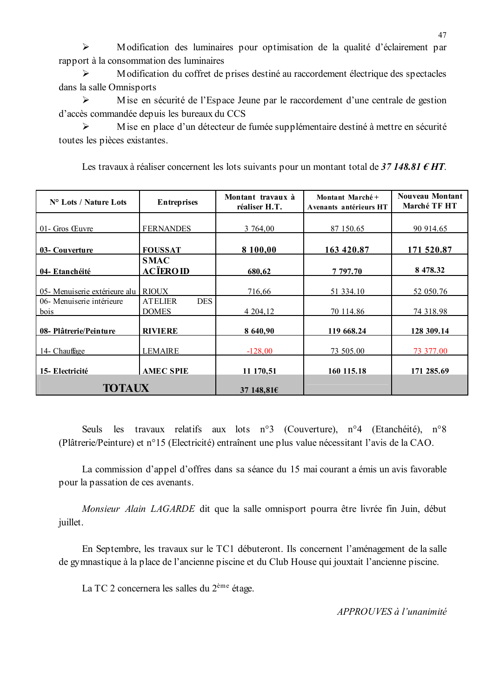$\blacktriangleright$ Modification des luminaires pour optimisation de la qualité d'éclairement par rapport à la consommation des luminaires

Modification du coffret de prises destiné au raccordement électrique des spectacles  $\blacktriangleright$ dans la salle Omnisports

 $\blacktriangleright$ Mise en sécurité de l'Espace Jeune par le raccordement d'une centrale de gestion d'accès commandée depuis les bureaux du CCS

Mise en place d'un détecteur de fumée supplémentaire destiné à mettre en sécurité  $\triangleright$ toutes les pièces existantes.

| N° Lots / Nature Lots                | <b>Entreprises</b>                           | Montant travaux à<br>réaliser H.T. | Montant Marché+<br>Avenants antérieurs HT | Nouveau Montant<br>Marché TF HT |
|--------------------------------------|----------------------------------------------|------------------------------------|-------------------------------------------|---------------------------------|
| 01- Gros Œuvre                       | <b>FERNANDES</b>                             | 3 764,00                           | 87 150.65                                 | 90 914.65                       |
| 03- Couverture                       | <b>FOUSSAT</b>                               | 8 100,00                           | 163 420.87                                | 171 520.87                      |
| 04- Etanchéité                       | <b>SMAC</b><br><b>ACÏEROID</b>               | 680,62                             | 7 797.70                                  | 8 478.32                        |
| 05 - Menuiserie extérieure alu RIOUX |                                              | 716,66                             | 51 334.10                                 | 52 050.76                       |
| 06- Menuiserie intérieure<br>bois    | <b>DES</b><br><b>ATELIER</b><br><b>DOMES</b> | 4 204,12                           | 70 114.86                                 | 74 318.98                       |
| 08- Plâtrerie/Peinture               | <b>RIVIERE</b>                               | 8 640,90                           | 119 668.24                                | 128 309.14                      |
| 14- Chauffage                        | <b>LEMAIRE</b>                               | $-128,00$                          | 73 505.00                                 | 73 377.00                       |
| 15- Electricité                      | <b>AMEC SPIE</b>                             | 11 170,51                          | 160 115.18                                | 171 285.69                      |
| <b>TOTAUX</b>                        |                                              | 37 148,81 $\epsilon$               |                                           |                                 |

Les travaux à réaliser concernent les lots suivants pour un montant total de 37 148.81  $\epsilon$  HT.

Seuls les travaux relatifs aux lots n°3 (Couverture), n°4 (Etanchéité), n°8 (Plâtrerie/Peinture) et n°15 (Electricité) entraînent une plus value nécessitant l'avis de la CAO.

La commission d'appel d'offres dans sa séance du 15 mai courant a émis un avis favorable pour la passation de ces avenants.

Monsieur Alain LAGARDE dit que la salle omnisport pourra être livrée fin Juin, début juillet.

En Septembre, les travaux sur le TC1 débuteront. Ils concernent l'aménagement de la salle de gymnastique à la place de l'ancienne piscine et du Club House qui jouxtait l'ancienne piscine.

La TC 2 concernera les salles du 2<sup>ème</sup> étage.

APPROUVES à l'unanimité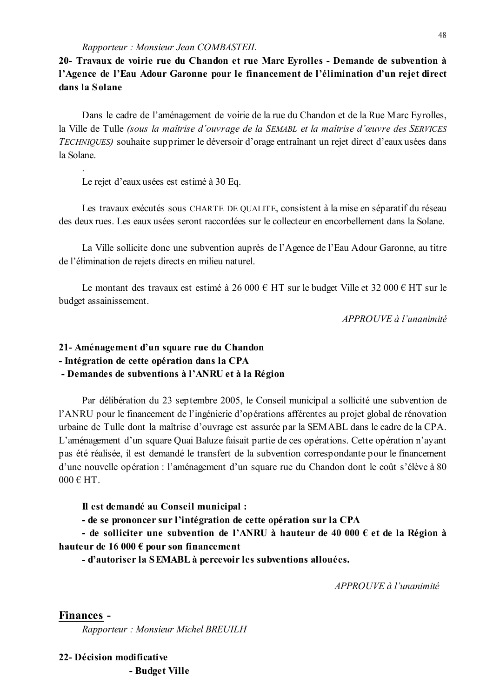20- Travaux de voirie rue du Chandon et rue Marc Eyrolles - Demande de subvention à l'Agence de l'Eau Adour Garonne pour le financement de l'élimination d'un rejet direct dans la Solane

Dans le cadre de l'aménagement de voirie de la rue du Chandon et de la Rue Marc Eyrolles, la Ville de Tulle (sous la maîtrise d'ouvrage de la SEMABL et la maîtrise d'œuvre des SERVICES TECHNIQUES) souhaite supprimer le déversoir d'orage entraînant un rejet direct d'eaux usées dans la Solane.

Le rejet d'eaux usées est estimé à 30 Eq.

Les travaux exécutés sous CHARTE DE QUALITE, consistent à la mise en séparatif du réseau des deux rues. Les eaux usées seront raccordées sur le collecteur en encorbellement dans la Solane.

La Ville sollicite donc une subvention auprès de l'Agence de l'Eau Adour Garonne, au titre de l'élimination de rejets directs en milieu naturel.

Le montant des travaux est estimé à 26 000 € HT sur le budget Ville et 32 000 € HT sur le budget assainissement.

APPROUVE à l'unanimité

# 21- Aménagement d'un square rue du Chandon - Intégration de cette opération dans la CPA - Demandes de subventions à l'ANRU et à la Région

Par délibération du 23 septembre 2005, le Conseil municipal a sollicité une subvention de l'ANRU pour le financement de l'ingénierie d'opérations afférentes au projet global de rénovation urbaine de Tulle dont la maîtrise d'ouvrage est assurée par la SEMABL dans le cadre de la CPA. L'aménagement d'un square Quai Baluze faisait partie de ces opérations. Cette opération n'ayant pas été réalisée, il est demandé le transfert de la subvention correspondante pour le financement d'une nouvelle opération : l'aménagement d'un square rue du Chandon dont le coût s'élève à 80  $000 \in HT$ 

#### Il est demandé au Conseil municipal :

- de se prononcer sur l'intégration de cette opération sur la CPA

- de solliciter une subvention de l'ANRU à hauteur de 40 000  $\epsilon$  et de la Région à hauteur de 16 000  $\epsilon$  pour son financement

- d'autoriser la SEMABL à percevoir les subventions allouées.

 $APPROIIVE$  à l'unanimité

Finances -

Rapporteur: Monsieur Michel BREUILH

# 22- Décision modificative

- Budget Ville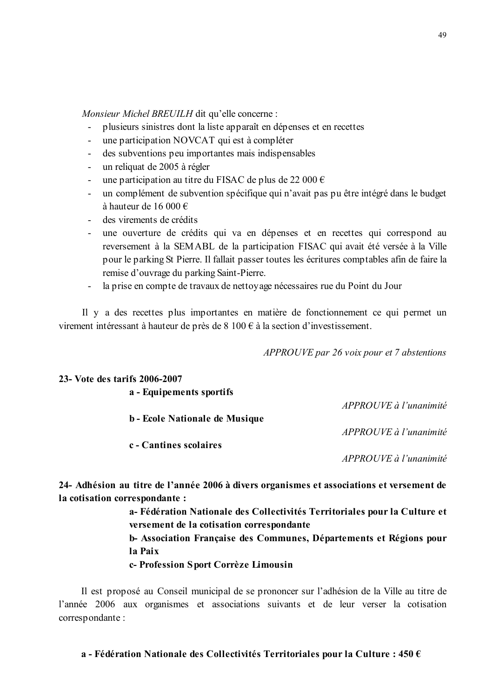Monsieur Michel BREUILH dit qu'elle concerne :

- plusieurs sinistres dont la liste apparaît en dépenses et en recettes  $\Delta \phi$
- une participation NOVCAT qui est à compléter  $\sim$
- des subventions peu importantes mais indispensables  $\omega_{\rm{eff}}$
- un reliquat de 2005 à régler
- une participation au titre du FISAC de plus de 22 000  $\epsilon$
- un complément de subvention spécifique qui n'avait pas pu être intégré dans le budget à hauteur de 16 000  $\in$
- des virements de crédits

23. Vote des tarifs 2006-2007

- une ouverture de crédits qui va en dépenses et en recettes qui correspond au reversement à la SEMABL de la participation FISAC qui avait été versée à la Ville pour le parking St Pierre. Il fallait passer toutes les écritures comptables afin de faire la remise d'ouvrage du parking Saint-Pierre.
- la prise en compte de travaux de nettovage nécessaires rue du Point du Jour  $\omega_{\rm{max}}$

Il y a des recettes plus importantes en matière de fonctionnement ce qui permet un virement intéressant à hauteur de près de 8 100  $\epsilon$  à la section d'investissement.

APPROUVE par 26 voix pour et 7 abstentions

| a - Equipements sportifs |                                                                                           |
|--------------------------|-------------------------------------------------------------------------------------------|
|                          | APPROUVE à l'unanimité                                                                    |
|                          | b - Ecole Nationale de Musique                                                            |
|                          | APPROUVE à l'unanimité                                                                    |
| c - Cantines scolaires   |                                                                                           |
|                          | APPROUVE à l'unanimité                                                                    |
|                          |                                                                                           |
|                          | 24- Adhésion au titre de l'année 2006 à divers organismes et associations et versement de |
|                          |                                                                                           |

la cotisation correspondante :

a-Fédération Nationale des Collectivités Territoriales pour la Culture et versement de la cotisation correspondante

b-Association Française des Communes, Départements et Régions pour la Paix

c- Profession Sport Corrèze Limousin

Il est proposé au Conseil municipal de se prononcer sur l'adhésion de la Ville au titre de l'année 2006 aux organismes et associations suivants et de leur verser la cotisation correspondante: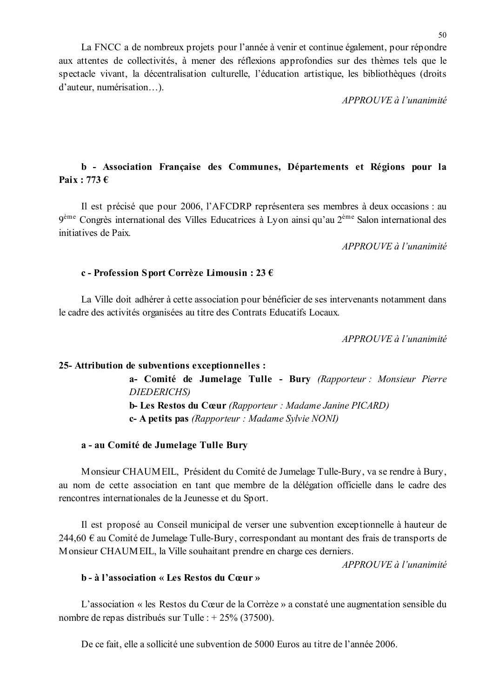La FNCC a de nombreux projets pour l'année à venir et continue également, pour répondre aux attentes de collectivités, à mener des réflexions approfondies sur des thèmes tels que le spectacle vivant, la décentralisation culturelle, l'éducation artistique, les bibliothèques (droits d'auteur, numérisation...).

 $APPROUVE \d0$  l'unanimité

# b - Association Française des Communes, Départements et Régions pour la Paix: 773 $\epsilon$

Il est précisé que pour 2006, l'AFCDRP représentera ses membres à deux occasions : au  $9^{\text{ème}}$  Congrès international des Villes Educatrices à Lyon ainsi qu'au  $2^{\text{ème}}$  Salon international des initiatives de Paix

 $APPROUVE$ à l'unanimité

#### c - Profession Sport Corrèze Limousin : 23 €

La Ville doit adhérer à cette association pour bénéficier de ses intervenants notamment dans le cadre des activités organisées au titre des Contrats Educatifs Locaux.

APPROUVE à l'unanimité

#### 25- Attribution de subventions exceptionnelles :

a- Comité de Jumelage Tulle - Bury (Rapporteur : Monsieur Pierre **DIEDERICHS** b- Les Restos du Cœur (Rapporteur : Madame Janine PICARD) c- A petits pas (Rapporteur: Madame Sylvie NONI)

#### a - au Comité de Jumelage Tulle Bury

Monsieur CHAUMEIL, Président du Comité de Jumelage Tulle-Bury, va se rendre à Bury, au nom de cette association en tant que membre de la délégation officielle dans le cadre des rencontres internationales de la Jeunesse et du Sport.

Il est proposé au Conseil municipal de verser une subvention exceptionnelle à hauteur de 244,60  $\epsilon$  au Comité de Jumelage Tulle-Bury, correspondant au montant des frais de transports de Monsieur CHAUMEIL, la Ville souhaitant prendre en charge ces derniers.

APPROUVE à l'unanimité

### **b** - à l'association « Les Restos du Cœur »

L'association « les Restos du Cœur de la Corrèze » a constaté une augmentation sensible du nombre de repas distribués sur Tulle : + 25% (37500).

De ce fait, elle a sollicité une subvention de 5000 Euros au titre de l'année 2006.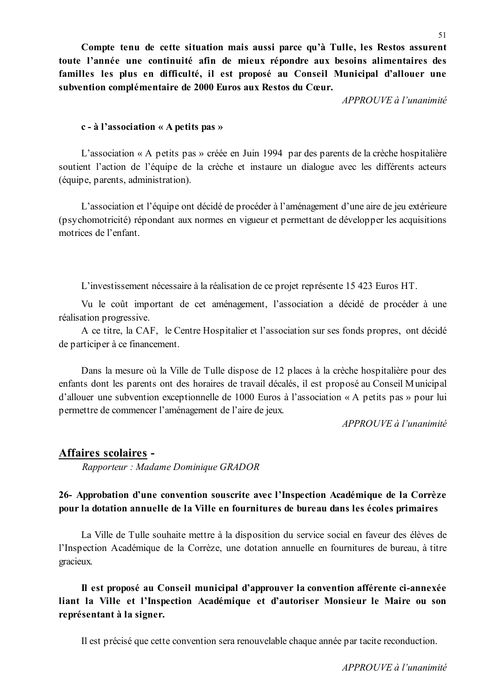Compte tenu de cette situation mais aussi parce qu'à Tulle, les Restos assurent toute l'année une continuité afin de mieux répondre aux besoins alimentaires des familles les plus en difficulté, il est proposé au Conseil Municipal d'allouer une subvention complémentaire de 2000 Euros aux Restos du Cœur.

 $APPROUVE \d0$  l'unanimité

#### $c - \hat{a}$  l'association « A petits pas »

L'association « A petits pas » créée en Juin 1994 par des parents de la crèche hospitalière soutient l'action de l'équipe de la crèche et instaure un dialogue avec les différents acteurs (équipe, parents, administration).

L'association et l'équipe ont décidé de procéder à l'aménagement d'une aire de jeu extérieure (psychomotricité) répondant aux normes en vigueur et permettant de développer les acquisitions motrices de l'enfant

L'investissement nécessaire à la réalisation de ce projet représente 15 423 Euros HT.

Vu le coût important de cet aménagement, l'association a décidé de procéder à une réalisation progressive.

A ce titre, la CAF, le Centre Hospitalier et l'association sur ses fonds propres, ont décidé de participer à ce financement.

Dans la mesure où la Ville de Tulle dispose de 12 places à la crèche hospitalière pour des enfants dont les parents ont des horaires de travail décalés, il est proposé au Conseil Municipal d'allouer une subvention exceptionnelle de 1000 Euros à l'association « A petits pas » pour lui permettre de commencer l'aménagement de l'aire de jeux.

 $APPROIIVE$  à l'unanimité

# Affaires scolaires -Rapporteur: Madame Dominique GRADOR

# 26- Approbation d'une convention souscrite avec l'Inspection Académique de la Corrèze pour la dotation annuelle de la Ville en fournitures de bureau dans les écoles primaires

La Ville de Tulle souhaite mettre à la disposition du service social en faveur des élèves de l'Inspection Académique de la Corrèze, une dotation annuelle en fournitures de bureau, à titre gracieux.

Il est proposé au Conseil municipal d'approuver la convention afférente ci-annexée liant la Ville et l'Inspection Académique et d'autoriser Monsieur le Maire ou son représentant à la signer.

Il est précisé que cette convention sera renouvelable chaque année par tacite reconduction.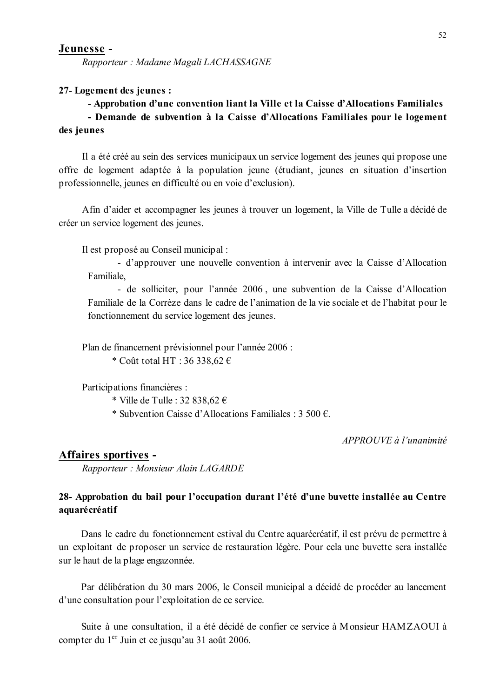Rapporteur: Madame Magali LACHASSAGNE

#### 27-Logement des jeunes :

# - Approbation d'une convention liant la Ville et la Caisse d'Allocations Familiales - Demande de subvention à la Caisse d'Allocations Familiales pour le logement des jeunes

Il a été créé au sein des services municipaux un service logement des jeunes qui propose une offre de logement adaptée à la population jeune (étudiant, jeunes en situation d'insertion professionnelle, jeunes en difficulté ou en voie d'exclusion).

Afin d'aider et accompagner les jeunes à trouver un logement, la Ville de Tulle a décidé de créer un service logement des jeunes.

Il est proposé au Conseil municipal :

- d'approuver une nouvelle convention à intervenir avec la Caisse d'Allocation Familiale.

- de solliciter, pour l'année 2006, une subvention de la Caisse d'Allocation Familiale de la Corrèze dans le cadre de l'animation de la vie sociale et de l'habitat pour le fonctionnement du service logement des jeunes.

Plan de financement prévisionnel pour l'année 2006 : \* Coût total HT: 36 338.62  $\in$ 

Participations financières :

\* Ville de Tulle : 32 838,62  $\epsilon$ 

\* Subvention Caisse d'Allocations Familiales : 3 500 €.

APPROUVE à l'unanimité

#### Affaires sportives -

Rapporteur: Monsieur Alain LAGARDE

# 28- Approbation du bail pour l'occupation durant l'été d'une buvette installée au Centre aquarécréatif

Dans le cadre du fonctionnement estival du Centre aquarécréatif, il est prévu de permettre à un exploitant de proposer un service de restauration légère. Pour cela une buvette sera installée sur le haut de la plage engazonnée.

Par délibération du 30 mars 2006, le Conseil municipal a décidé de procéder au lancement d'une consultation pour l'exploitation de ce service.

Suite à une consultation, il a été décidé de confier ce service à Monsieur HAMZAOUI à compter du 1<sup>er</sup> Juin et ce jusqu'au 31 août 2006.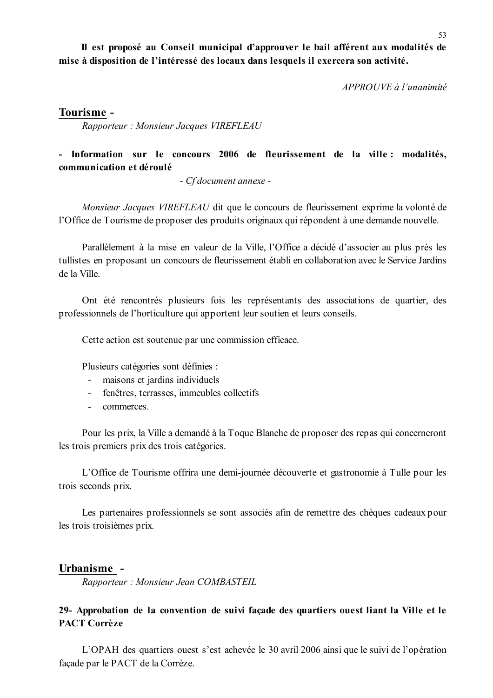Il est proposé au Conseil municipal d'approuver le bail afférent aux modalités de mise à disposition de l'intéressé des locaux dans lesquels il exercera son activité.

 $APPROIIVE \d{d} l'unanimit \d{e}$ 

### Tourisme -

Rapporteur: Monsieur Jacques VIREFLEAU

# - Information sur le concours 2006 de fleurissement de la ville : modalités, communication et déroulé

- Cf document annexe -

Monsieur Jacques VIREFLEAU dit que le concours de fleurissement exprime la volonté de l'Office de Tourisme de proposer des produits originaux qui répondent à une demande nouvelle.

Parallèlement à la mise en valeur de la Ville, l'Office a décidé d'associer au plus près les tullistes en proposant un concours de fleurissement établi en collaboration avec le Service Jardins de la Ville

Ont été rencontrés plusieurs fois les représentants des associations de quartier, des professionnels de l'horticulture qui apportent leur soutien et leurs conseils.

Cette action est soutenue par une commission efficace.

Plusieurs catégories sont définies :

- maisons et jardins individuels
- fenêtres, terrasses, immeubles collectifs
- commerces  $\mathcal{L}^{\text{max}}$

Pour les prix, la Ville a demandé à la Toque Blanche de proposer des repas qui concerneront les trois premiers prix des trois catégories.

L'Office de Tourisme offrira une demi-journée découverte et gastronomie à Tulle pour les trois seconds prix.

Les partenaires professionnels se sont associés afin de remettre des chèques cadeaux pour les trois troisièmes prix.

#### Urbanisme -

Rapporteur: Monsieur Jean COMBASTEIL

# 29- Approbation de la convention de suivi façade des quartiers ouest liant la Ville et le **PACT Corrèze**

L'OPAH des quartiers ouest s'est achevée le 30 avril 2006 ainsi que le suivi de l'opération façade par le PACT de la Corrèze.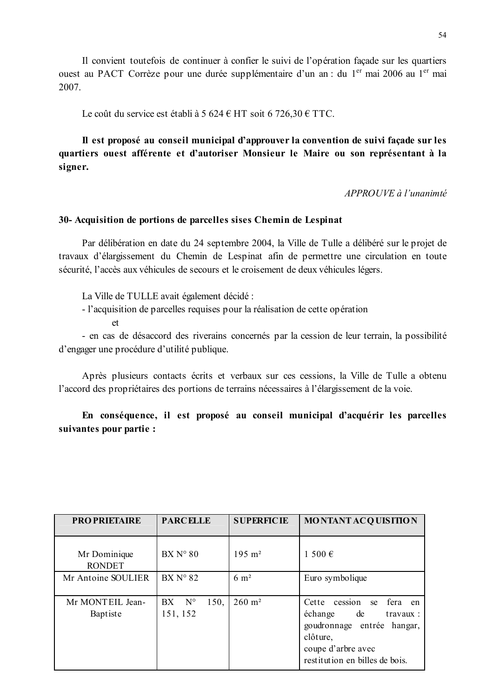Il convient toutefois de continuer à confier le suivi de l'opération façade sur les quartiers ouest au PACT Corrèze pour une durée supplémentaire d'un an : du 1<sup>er</sup> mai 2006 au 1<sup>er</sup> mai 2007.

Le coût du service est établi à 5 624 € HT soit 6 726,30 € TTC.

Il est proposé au conseil municipal d'approuver la convention de suivi façade sur les quartiers ouest afférente et d'autoriser Monsieur le Maire ou son représentant à la signer.

APPROUVE à l'unanimté

#### 30- Acquisition de portions de parcelles sises Chemin de Lespinat

Par délibération en date du 24 septembre 2004, la Ville de Tulle a délibéré sur le projet de travaux d'élargissement du Chemin de Lespinat afin de permettre une circulation en toute sécurité, l'accès aux véhicules de secours et le croisement de deux véhicules légers.

La Ville de TULLE avait également décidé :

- l'acquisition de parcelles requises pour la réalisation de cette opération

 $et$ 

- en cas de désaccord des riverains concernés par la cession de leur terrain, la possibilité d'engager une procédure d'utilité publique.

Après plusieurs contacts écrits et verbaux sur ces cessions, la Ville de Tulle a obtenu l'accord des propriétaires des portions de terrains nécessaires à l'élargissement de la voie.

En conséquence, il est proposé au conseil municipal d'acquérir les parcelles suivantes pour partie :

| <b>PROPRIETAIRE</b>           | <b>PARCELLE</b>                      | <b>SUPERFICIE</b>     | <b>MONTANT ACQUISITION</b>                                                                                                                                                   |
|-------------------------------|--------------------------------------|-----------------------|------------------------------------------------------------------------------------------------------------------------------------------------------------------------------|
| Mr Dominique<br><b>RONDET</b> | $BXN^{\circ}80$                      | $195 \; \mathrm{m}^2$ | 1 500 $\epsilon$                                                                                                                                                             |
| Mr Antoine SOULIER            | $BXN^{\circ}82$                      | $6 \text{ m}^2$       | Euro symbolique                                                                                                                                                              |
| Mr MONTEIL Jean-<br>Baptiste  | 150,<br>$BX \tN^{\circ}$<br>151, 152 | $260 \; \mathrm{m}^2$ | Cette<br>fera<br>cession<br>se<br>en<br>échange<br>de<br>$\text{travaux}:$<br>goudronnage entrée hangar,<br>clôture,<br>coupe d'arbre avec<br>restitution en billes de bois. |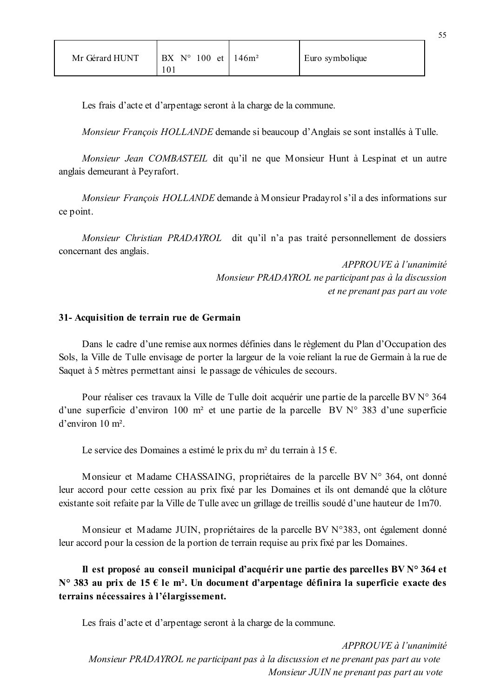| Mr Gérard HUNT | $N^{\circ}$ 100 et 1<br>BX<br>10 <sub>1</sub> | 146m <sup>2</sup> | Euro symbolique |
|----------------|-----------------------------------------------|-------------------|-----------------|
|----------------|-----------------------------------------------|-------------------|-----------------|

Les frais d'acte et d'arpentage seront à la charge de la commune.

Monsieur François HOLLANDE demande si beaucoup d'Anglais se sont installés à Tulle.

Monsieur Jean COMBASTEIL dit qu'il ne que Monsieur Hunt à Lespinat et un autre anglais demeurant à Peyrafort.

Monsieur François HOLLANDE demande à Monsieur Pradayrol s'il a des informations sur ce point.

Monsieur Christian PRADAYROL dit qu'il n'a pas traité personnellement de dossiers concernant des anglais.

> APPROUVE à l'unanimité Monsieur PRADAYROL ne participant pas à la discussion et ne prenant pas part au vote

#### 31- Acquisition de terrain rue de Germain

Dans le cadre d'une remise aux normes définies dans le règlement du Plan d'Occupation des Sols, la Ville de Tulle envisage de porter la largeur de la voie reliant la rue de Germain à la rue de Saquet à 5 mètres permettant ainsi le passage de véhicules de secours.

Pour réaliser ces travaux la Ville de Tulle doit acquérir une partie de la parcelle BV N° 364 d'une superficie d'environ 100 m<sup>2</sup> et une partie de la parcelle BV  $N^{\circ}$  383 d'une superficie  $d'$ environ 10 m<sup>2</sup>

Le service des Domaines a estimé le prix du m<sup>2</sup> du terrain à 15  $\epsilon$ .

Monsieur et Madame CHASSAING, propriétaires de la parcelle BV N° 364, ont donné leur accord pour cette cession au prix fixé par les Domaines et ils ont demandé que la clôture existante soit refaite par la Ville de Tulle avec un grillage de treillis soudé d'une hauteur de 1m70.

Monsieur et Madame JUIN, propriétaires de la parcelle BV N°383, ont également donné leur accord pour la cession de la portion de terrain requise au prix fixé par les Domaines.

Il est proposé au conseil municipal d'acquérir une partie des parcelles BV N° 364 et N° 383 au prix de 15  $\epsilon$  le m<sup>2</sup>. Un document d'arpentage définira la superficie exacte des terrains nécessaires à l'élargissement.

Les frais d'acte et d'arpentage seront à la charge de la commune.

APPROUVE à l'unanimité Monsieur PRADAYROL ne participant pas à la discussion et ne prenant pas part au vote Monsieur JUIN ne prenant pas part au vote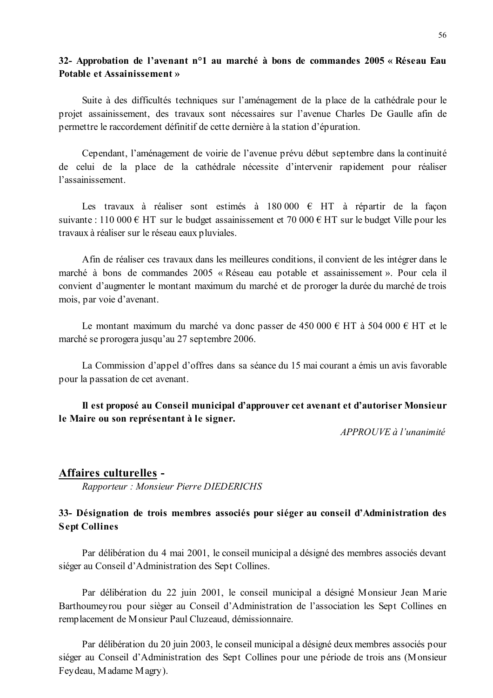### 32- Approbation de l'avenant n<sup>o</sup>1 au marché à bons de commandes 2005 « Réseau Eau **Potable et Assainissement »**

Suite à des difficultés techniques sur l'aménagement de la place de la cathédrale pour le projet assainissement, des travaux sont nécessaires sur l'avenue Charles De Gaulle afin de permettre le raccordement définitif de cette dernière à la station d'épuration.

Cependant, l'aménagement de voirie de l'avenue prévu début septembre dans la continuité de celui de la place de la cathédrale nécessite d'intervenir rapidement pour réaliser l'assainissement

Les travaux à réaliser sont estimés à 180 000  $\epsilon$  HT à répartir de la facon suivante : 110 000 € HT sur le budget assainissement et 70 000 € HT sur le budget Ville pour les travaux à réaliser sur le réseau eaux pluviales.

Afin de réaliser ces travaux dans les meilleures conditions, il convient de les intégrer dans le marché à bons de commandes 2005 « Réseau eau potable et assainissement ». Pour cela il convient d'augmenter le montant maximum du marché et de proroger la durée du marché de trois mois, par voie d'avenant.

Le montant maximum du marché va donc passer de 450 000 € HT à 504 000 € HT et le marché se prorogera jusqu'au 27 septembre 2006.

La Commission d'appel d'offres dans sa séance du 15 mai courant a émis un avis favorable pour la passation de cet avenant.

Il est proposé au Conseil municipal d'approuver cet avenant et d'autoriser Monsieur le Maire ou son représentant à le signer.

APPROUVE à l'unanimité

#### Affaires culturelles -

Rapporteur: Monsieur Pierre DIEDERICHS

# 33- Désignation de trois membres associés pour siéger au conseil d'Administration des **Sept Collines**

Par délibération du 4 mai 2001, le conseil municipal a désigné des membres associés devant siéger au Conseil d'Administration des Sept Collines.

Par délibération du 22 juin 2001, le conseil municipal a désigné Monsieur Jean Marie Barthoumeyrou pour sièger au Conseil d'Administration de l'association les Sept Collines en remplacement de Monsieur Paul Cluzeaud, démissionnaire.

Par délibération du 20 juin 2003, le conseil municipal a désigné deux membres associés pour siéger au Conseil d'Administration des Sept Collines pour une période de trois ans (Monsieur Feydeau, Madame Magry).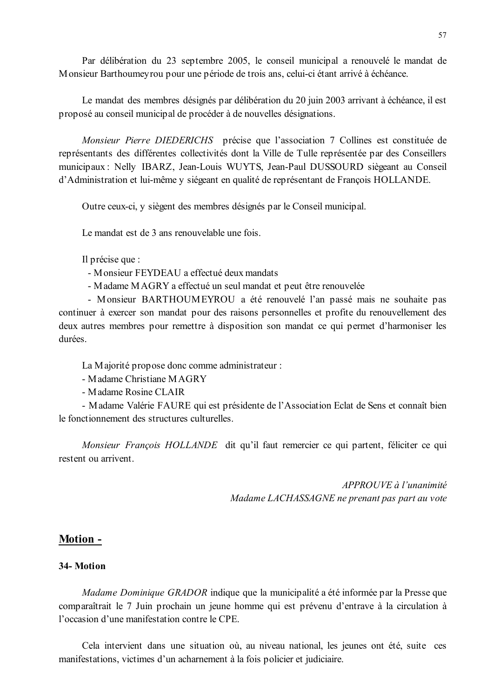Par délibération du 23 septembre 2005, le conseil municipal a renouvelé le mandat de Monsieur Barthoumeyrou pour une période de trois ans, celui-ci étant arrivé à échéance.

Le mandat des membres désignés par délibération du 20 juin 2003 arrivant à échéance, il est proposé au conseil municipal de procéder à de nouvelles désignations.

Monsieur Pierre DIEDERICHS précise que l'association 7 Collines est constituée de représentants des différentes collectivités dont la Ville de Tulle représentée par des Conseillers municipaux : Nelly IBARZ, Jean-Louis WUYTS, Jean-Paul DUSSOURD siègeant au Conseil d'Administration et lui-même y siégeant en qualité de représentant de François HOLLANDE.

Outre ceux-ci, y siègent des membres désignés par le Conseil municipal.

Le mandat est de 3 ans renouvelable une fois

Il précise que :

- Monsieur FEYDEAU a effectué deux mandats
- Madame MAGRY a effectué un seul mandat et peut être renouvelée

- Monsieur BARTHOUMEYROU a été renouvelé l'an passé mais ne souhaite pas continuer à exercer son mandat pour des raisons personnelles et profite du renouvellement des deux autres membres pour remettre à disposition son mandat ce qui permet d'harmoniser les durées.

La Majorité propose donc comme administrateur :

- Madame Christiane MAGRY
- Madame Rosine CLAIR

- Madame Valérie FAURE qui est présidente de l'Association Eclat de Sens et connaît bien le fonctionnement des structures culturelles.

Monsieur François HOLLANDE dit qu'il faut remercier ce qui partent, féliciter ce qui restent ou arrivent.

> APPROUVE à l'unanimité Madame LACHASSAGNE ne prenant pas part au vote

### **Motion -**

#### 34-Motion

Madame Dominique GRADOR indique que la municipalité a été informée par la Presse que comparaîtrait le 7 Juin prochain un jeune homme qui est prévenu d'entrave à la circulation à l'occasion d'une manifestation contre le CPE.

Cela intervient dans une situation où, au niveau national, les jeunes ont été, suite ces manifestations, victimes d'un acharnement à la fois policier et judiciaire.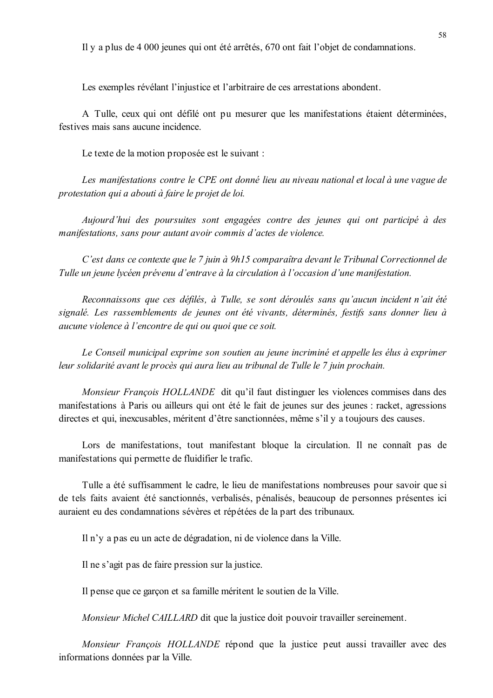Il y a plus de 4 000 jeunes qui ont été arrêtés, 670 ont fait l'objet de condamnations.

Les exemples révélant l'iniustice et l'arbitraire de ces arrestations abondent.

A Tulle, ceux qui ont défilé ont pu mesurer que les manifestations étaient déterminées, festives mais sans aucune incidence

Le texte de la motion proposée est le suivant :

Les manifestations contre le CPE ont donné lieu au niveau national et local à une vague de protestation qui a abouti à faire le projet de loi.

Aujourd'hui des poursuites sont engagées contre des jeunes qui ont participé à des manifestations, sans pour autant avoir commis d'actes de violence.

C'est dans ce contexte que le 7 juin à 9h15 comparaîtra devant le Tribunal Correctionnel de Tulle un jeune lycéen prévenu d'entrave à la circulation à l'occasion d'une manifestation.

Reconnaissons que ces défilés, à Tulle, se sont déroulés sans qu'aucun incident n'ait été signalé. Les rassemblements de jeunes ont été vivants, déterminés, festifs sans donner lieu à aucune violence à l'encontre de qui ou quoi que ce soit.

Le Conseil municipal exprime son soutien au jeune incriminé et appelle les élus à exprimer leur solidarité avant le procès qui aura lieu au tribunal de Tulle le 7 juin prochain.

Monsieur François HOLLANDE dit qu'il faut distinguer les violences commises dans des manifestations à Paris ou ailleurs qui ont été le fait de jeunes sur des jeunes : racket, agressions directes et qui, inexcusables, méritent d'être sanctionnées, même s'il y a toujours des causes.

Lors de manifestations, tout manifestant bloque la circulation. Il ne connaît pas de manifestations qui permette de fluidifier le trafic.

Tulle a été suffisamment le cadre, le lieu de manifestations nombreuses pour savoir que si de tels faits avaient été sanctionnés, verbalisés, pénalisés, beaucoup de personnes présentes ici auraient eu des condamnations sévères et répétées de la part des tribunaux.

Il n'y a pas eu un acte de dégradation, ni de violence dans la Ville.

Il ne s'agit pas de faire pression sur la justice.

Il pense que ce garçon et sa famille méritent le soutien de la Ville.

Monsieur Michel CAILLARD dit que la justice doit pouvoir travailler sereinement.

Monsieur François HOLLANDE répond que la justice peut aussi travailler avec des informations données par la Ville.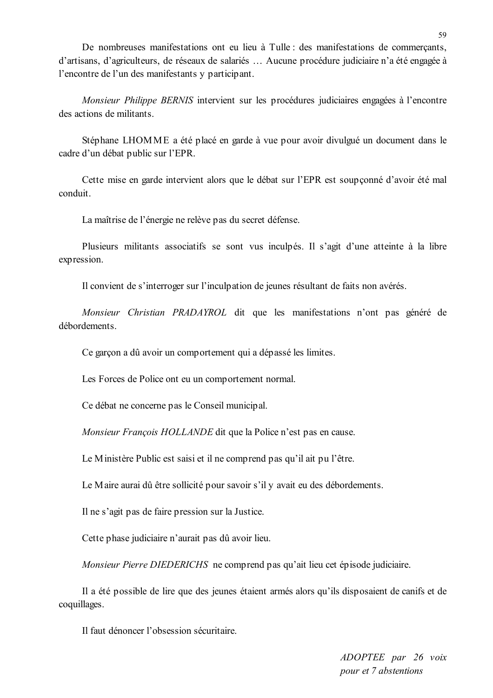De nombreuses manifestations ont eu lieu à Tulle : des manifestations de commerçants, d'artisans, d'agriculteurs, de réseaux de salariés ... Aucune procédure judiciaire n'a été engagée à l'encontre de l'un des manifestants y participant.

Monsieur Philippe BERNIS intervient sur les procédures judiciaires engagées à l'encontre des actions de militants.

Stéphane LHOMME a été placé en garde à vue pour avoir divulgué un document dans le cadre d'un débat public sur l'EPR.

Cette mise en garde intervient alors que le débat sur l'EPR est soupçonné d'avoir été mal conduit.

La maîtrise de l'énergie ne relève pas du secret défense.

Plusieurs militants associatifs se sont vus inculpés. Il s'agit d'une atteinte à la libre expression.

Il convient de s'interroger sur l'inculpation de jeunes résultant de faits non avérés.

Monsieur Christian PRADAYROL dit que les manifestations n'ont pas généré de débordements

Ce garçon a dû avoir un comportement qui a dépassé les limites.

Les Forces de Police ont eu un comportement normal.

Ce débat ne concerne pas le Conseil municipal.

Monsieur François HOLLANDE dit que la Police n'est pas en cause.

Le Ministère Public est saisi et il ne comprend pas qu'il ait pu l'être.

Le Maire aurai dû être sollicité pour savoir s'il y avait eu des débordements.

Il ne s'agit pas de faire pression sur la Justice.

Cette phase judiciaire n'aurait pas dû avoir lieu.

Monsieur Pierre DIEDERICHS ne comprend pas qu'ait lieu cet épisode judiciaire.

Il a été possible de lire que des jeunes étaient armés alors qu'ils disposaient de canifs et de coquillages.

Il faut dénoncer l'obsession sécuritaire

ADOPTEE par 26 voix pour et 7 abstentions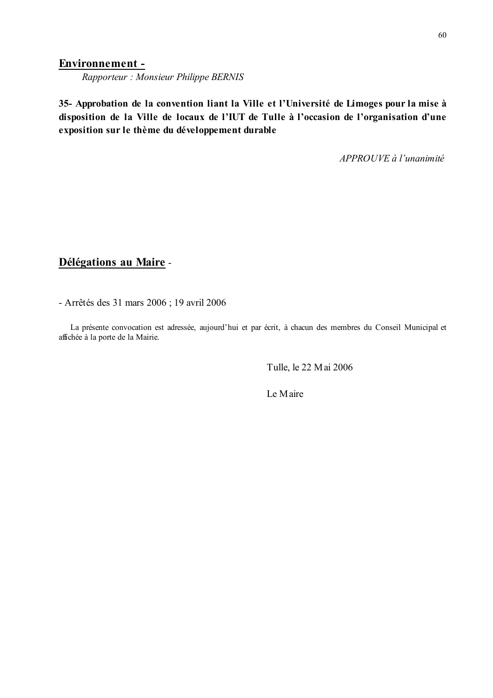#### **Environnement -**

Rapporteur: Monsieur Philippe BERNIS

35- Approbation de la convention liant la Ville et l'Université de Limoges pour la mise à disposition de la Ville de locaux de l'IUT de Tulle à l'occasion de l'organisation d'une exposition sur le thème du développement durable

APPROUVE à l'unanimité

# Délégations au Maire -

- Arrêtés des 31 mars 2006 ; 19 avril 2006

La présente convocation est adressée, aujourd'hui et par écrit, à chacun des membres du Conseil Municipal et affichée à la porte de la Mairie.

Tulle, le 22 Mai 2006

Le Maire